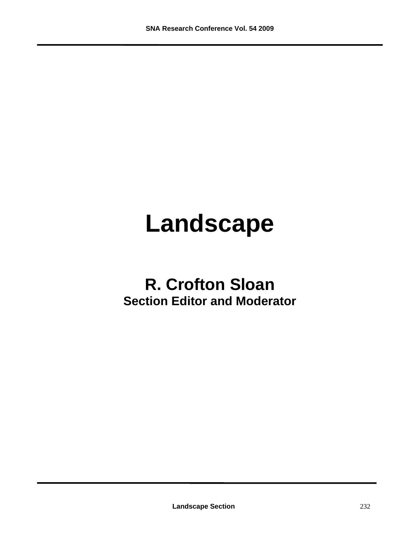# **Landscape**

## **R. Crofton Sloan Section Editor and Moderator**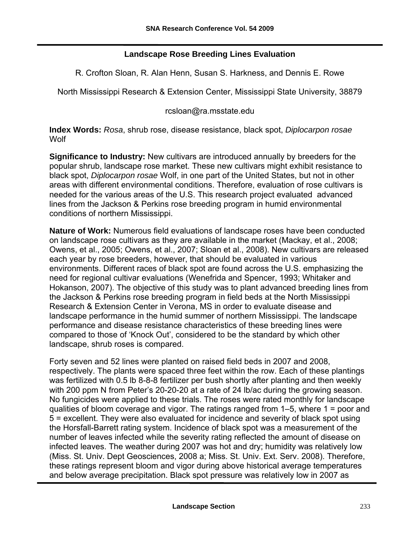#### **Landscape Rose Breeding Lines Evaluation**

R. Crofton Sloan, R. Alan Henn, Susan S. Harkness, and Dennis E. Rowe

North Mississippi Research & Extension Center, Mississippi State University, 38879

rcsloan@ra.msstate.edu

**Index Words:** *Rosa*, shrub rose, disease resistance, black spot, *Diplocarpon rosae* **Wolf** 

**Significance to Industry:** New cultivars are introduced annually by breeders for the popular shrub, landscape rose market. These new cultivars might exhibit resistance to black spot, *Diplocarpon rosae* Wolf, in one part of the United States, but not in other areas with different environmental conditions. Therefore, evaluation of rose cultivars is needed for the various areas of the U.S. This research project evaluated advanced lines from the Jackson & Perkins rose breeding program in humid environmental conditions of northern Mississippi.

**Nature of Work:** Numerous field evaluations of landscape roses have been conducted on landscape rose cultivars as they are available in the market (Mackay, et al., 2008; Owens, et al., 2005; Owens, et al., 2007; Sloan et al., 2008). New cultivars are released each year by rose breeders, however, that should be evaluated in various environments. Different races of black spot are found across the U.S. emphasizing the need for regional cultivar evaluations (Wenefrida and Spencer, 1993; Whitaker and Hokanson, 2007). The objective of this study was to plant advanced breeding lines from the Jackson & Perkins rose breeding program in field beds at the North Mississippi Research & Extension Center in Verona, MS in order to evaluate disease and landscape performance in the humid summer of northern Mississippi. The landscape performance and disease resistance characteristics of these breeding lines were compared to those of 'Knock Out', considered to be the standard by which other landscape, shrub roses is compared.

Forty seven and 52 lines were planted on raised field beds in 2007 and 2008, respectively. The plants were spaced three feet within the row. Each of these plantings was fertilized with 0.5 lb 8-8-8 fertilizer per bush shortly after planting and then weekly with 200 ppm N from Peter's 20-20-20 at a rate of 24 lb/ac during the growing season. No fungicides were applied to these trials. The roses were rated monthly for landscape qualities of bloom coverage and vigor. The ratings ranged from 1–5, where 1 = poor and 5 = excellent. They were also evaluated for incidence and severity of black spot using the Horsfall-Barrett rating system. Incidence of black spot was a measurement of the number of leaves infected while the severity rating reflected the amount of disease on infected leaves. The weather during 2007 was hot and dry; humidity was relatively low (Miss. St. Univ. Dept Geosciences, 2008 a; Miss. St. Univ. Ext. Serv. 2008). Therefore, these ratings represent bloom and vigor during above historical average temperatures and below average precipitation. Black spot pressure was relatively low in 2007 as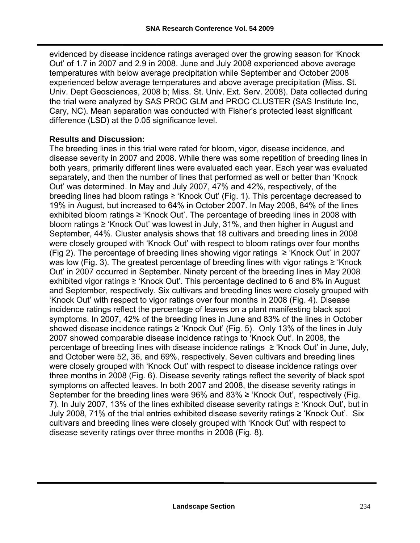evidenced by disease incidence ratings averaged over the growing season for 'Knock Out' of 1.7 in 2007 and 2.9 in 2008. June and July 2008 experienced above average temperatures with below average precipitation while September and October 2008 experienced below average temperatures and above average precipitation (Miss. St. Univ. Dept Geosciences, 2008 b; Miss. St. Univ. Ext. Serv. 2008). Data collected during the trial were analyzed by SAS PROC GLM and PROC CLUSTER (SAS Institute Inc, Cary, NC). Mean separation was conducted with Fisher's protected least significant difference (LSD) at the 0.05 significance level.

#### **Results and Discussion:**

The breeding lines in this trial were rated for bloom, vigor, disease incidence, and disease severity in 2007 and 2008. While there was some repetition of breeding lines in both years, primarily different lines were evaluated each year. Each year was evaluated separately, and then the number of lines that performed as well or better than 'Knock Out' was determined. In May and July 2007, 47% and 42%, respectively, of the breeding lines had bloom ratings ≥ 'Knock Out' (Fig. 1). This percentage decreased to 19% in August, but increased to 64% in October 2007. In May 2008, 84% of the lines exhibited bloom ratings ≥ 'Knock Out'. The percentage of breeding lines in 2008 with bloom ratings ≥ 'Knock Out' was lowest in July, 31%, and then higher in August and September, 44%. Cluster analysis shows that 18 cultivars and breeding lines in 2008 were closely grouped with 'Knock Out' with respect to bloom ratings over four months (Fig 2). The percentage of breeding lines showing vigor ratings  $\geq$  'Knock Out' in 2007 was low (Fig. 3). The greatest percentage of breeding lines with vigor ratings  $\geq$  'Knock Out' in 2007 occurred in September. Ninety percent of the breeding lines in May 2008 exhibited vigor ratings ≥ 'Knock Out'. This percentage declined to 6 and 8% in August and September, respectively. Six cultivars and breeding lines were closely grouped with 'Knock Out' with respect to vigor ratings over four months in 2008 (Fig. 4). Disease incidence ratings reflect the percentage of leaves on a plant manifesting black spot symptoms. In 2007, 42% of the breeding lines in June and 83% of the lines in October showed disease incidence ratings  $\geq$  'Knock Out' (Fig. 5). Only 13% of the lines in July 2007 showed comparable disease incidence ratings to 'Knock Out'. In 2008, the percentage of breeding lines with disease incidence ratings ≥ 'Knock Out' in June, July, and October were 52, 36, and 69%, respectively. Seven cultivars and breeding lines were closely grouped with 'Knock Out' with respect to disease incidence ratings over three months in 2008 (Fig. 6). Disease severity ratings reflect the severity of black spot symptoms on affected leaves. In both 2007 and 2008, the disease severity ratings in September for the breeding lines were  $96\%$  and  $83\% \geq$  'Knock Out', respectively (Fig. 7). In July 2007, 13% of the lines exhibited disease severity ratings  $\geq$  'Knock Out', but in July 2008, 71% of the trial entries exhibited disease severity ratings ≥ 'Knock Out'. Six cultivars and breeding lines were closely grouped with 'Knock Out' with respect to disease severity ratings over three months in 2008 (Fig. 8).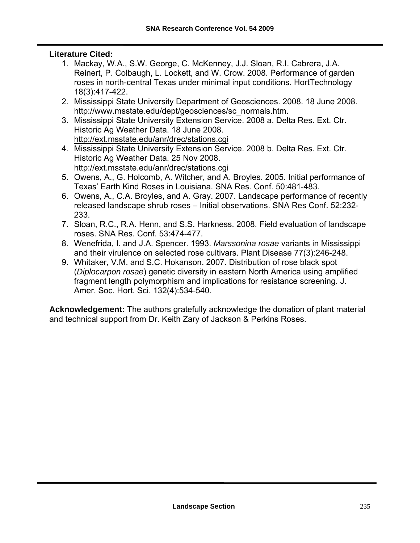#### **Literature Cited:**

- 1. Mackay, W.A., S.W. George, C. McKenney, J.J. Sloan, R.I. Cabrera, J.A. Reinert, P. Colbaugh, L. Lockett, and W. Crow. 2008. Performance of garden roses in north-central Texas under minimal input conditions. HortTechnology 18(3):417-422.
- 2. Mississippi State University Department of Geosciences. 2008. 18 June 2008. http://www.msstate.edu/dept/geosciences/sc\_normals.htm.
- 3. Mississippi State University Extension Service. 2008 a. Delta Res. Ext. Ctr. Historic Ag Weather Data. 18 June 2008. <http://ext.msstate.edu/anr/drec/stations.cgi>
- 4. Mississippi State University Extension Service. 2008 b. Delta Res. Ext. Ctr. Historic Ag Weather Data. 25 Nov 2008. http://ext.msstate.edu/anr/drec/stations.cgi
- 5. Owens, A., G. Holcomb, A. Witcher, and A. Broyles. 2005. Initial performance of Texas' Earth Kind Roses in Louisiana. SNA Res. Conf. 50:481-483.
- 6. Owens, A., C.A. Broyles, and A. Gray. 2007. Landscape performance of recently released landscape shrub roses – Initial observations. SNA Res Conf. 52:232- 233.
- 7. Sloan, R.C., R.A. Henn, and S.S. Harkness. 2008. Field evaluation of landscape roses. SNA Res. Conf. 53:474-477.
- 8. Wenefrida, I. and J.A. Spencer. 1993. *Marssonina rosae* variants in Mississippi and their virulence on selected rose cultivars. Plant Disease 77(3):246-248.
- 9. Whitaker, V.M. and S.C. Hokanson. 2007. Distribution of rose black spot (*Diplocarpon rosae*) genetic diversity in eastern North America using amplified fragment length polymorphism and implications for resistance screening. J. Amer. Soc. Hort. Sci. 132(4):534-540.

**Acknowledgement:** The authors gratefully acknowledge the donation of plant material and technical support from Dr. Keith Zary of Jackson & Perkins Roses.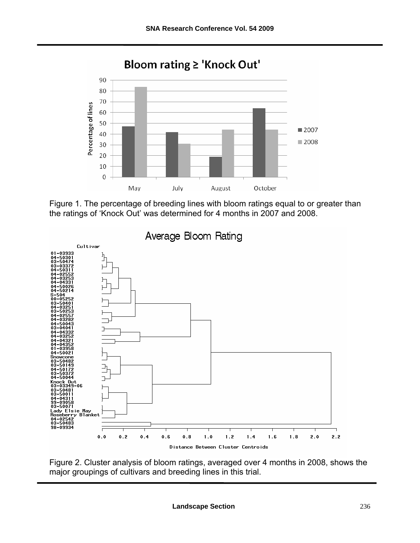

Figure 1. The percentage of breeding lines with bloom ratings equal to or greater than the ratings of 'Knock Out' was determined for 4 months in 2007 and 2008.



Figure 2. Cluster analysis of bloom ratings, averaged over 4 months in 2008, shows the major groupings of cultivars and breeding lines in this trial.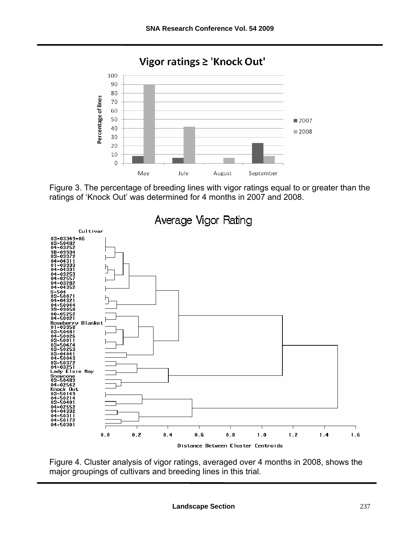

Figure 3. The percentage of breeding lines with vigor ratings equal to or greater than the ratings of 'Knock Out' was determined for 4 months in 2007 and 2008.



Figure 4. Cluster analysis of vigor ratings, averaged over 4 months in 2008, shows the major groupings of cultivars and breeding lines in this trial.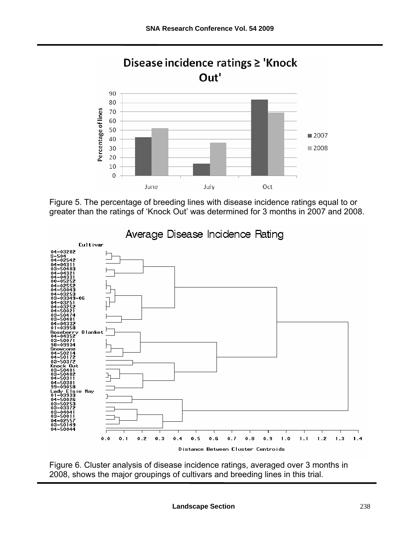

Figure 5. The percentage of breeding lines with disease incidence ratings equal to or greater than the ratings of 'Knock Out' was determined for 3 months in 2007 and 2008.



Figure 6. Cluster analysis of disease incidence ratings, averaged over 3 months in 2008, shows the major groupings of cultivars and breeding lines in this trial.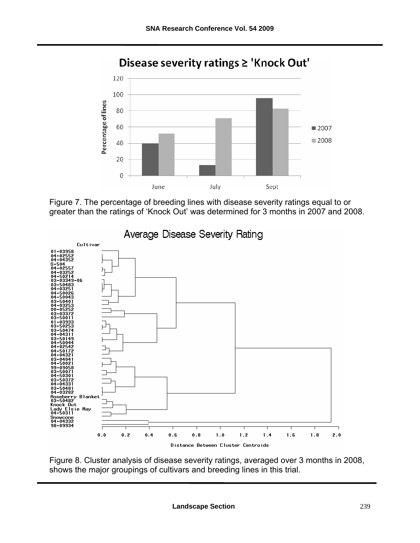

### Disease severity ratings ≥ 'Knock Out'





Figure 8. Cluster analysis of disease severity ratings, averaged over 3 months in 2008, shows the major groupings of cultivars and breeding lines in this trial.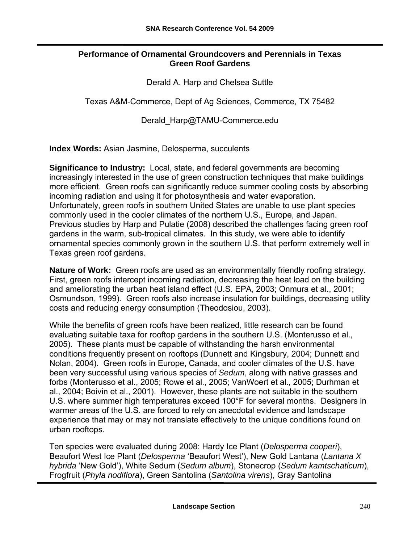#### **Performance of Ornamental Groundcovers and Perennials in Texas Green Roof Gardens**

Derald A. Harp and Chelsea Suttle

Texas A&M-Commerce, Dept of Ag Sciences, Commerce, TX 75482

Derald\_Harp@TAMU-Commerce.edu

**Index Words:** Asian Jasmine, Delosperma, succulents

**Significance to Industry:** Local, state, and federal governments are becoming increasingly interested in the use of green construction techniques that make buildings more efficient. Green roofs can significantly reduce summer cooling costs by absorbing incoming radiation and using it for photosynthesis and water evaporation. Unfortunately, green roofs in southern United States are unable to use plant species commonly used in the cooler climates of the northern U.S., Europe, and Japan. Previous studies by Harp and Pulatie (2008) described the challenges facing green roof gardens in the warm, sub-tropical climates. In this study, we were able to identify ornamental species commonly grown in the southern U.S. that perform extremely well in Texas green roof gardens.

**Nature of Work:** Green roofs are used as an environmentally friendly roofing strategy. First, green roofs intercept incoming radiation, decreasing the heat load on the building and ameliorating the urban heat island effect (U.S. EPA, 2003; Onmura et al., 2001; Osmundson, 1999). Green roofs also increase insulation for buildings, decreasing utility costs and reducing energy consumption (Theodosiou, 2003).

While the benefits of green roofs have been realized, little research can be found evaluating suitable taxa for rooftop gardens in the southern U.S. (Monterusso et al., 2005). These plants must be capable of withstanding the harsh environmental conditions frequently present on rooftops (Dunnett and Kingsbury, 2004; Dunnett and Nolan, 2004). Green roofs in Europe, Canada, and cooler climates of the U.S. have been very successful using various species of *Sedum*, along with native grasses and forbs (Monterusso et al., 2005; Rowe et al., 2005; VanWoert et al., 2005; Durhman et al., 2004; Boivin et al., 2001). However, these plants are not suitable in the southern U.S. where summer high temperatures exceed 100°F for several months. Designers in warmer areas of the U.S. are forced to rely on anecdotal evidence and landscape experience that may or may not translate effectively to the unique conditions found on urban rooftops.

Ten species were evaluated during 2008: Hardy Ice Plant (*Delosperma cooperi*), Beaufort West Ice Plant (*Delosperma* 'Beaufort West'), New Gold Lantana (*Lantana X hybrida* 'New Gold'), White Sedum (*Sedum album*), Stonecrop (*Sedum kamtschaticum*), Frogfruit (*Phyla nodiflora*), Green Santolina (*Santolina virens*), Gray Santolina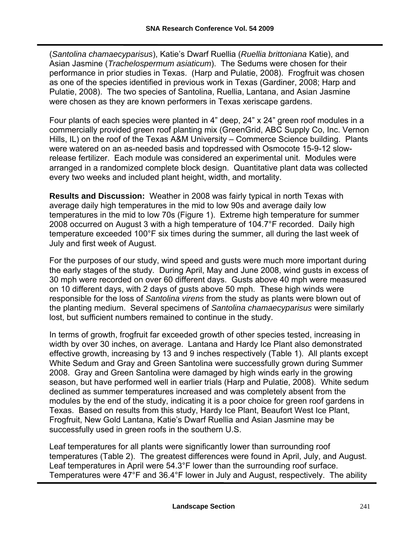(*Santolina chamaecyparisus*), Katie's Dwarf Ruellia (*Ruellia brittoniana* Katie), and Asian Jasmine (*Trachelospermum asiaticum*). The Sedums were chosen for their performance in prior studies in Texas. (Harp and Pulatie, 2008). Frogfruit was chosen as one of the species identified in previous work in Texas (Gardiner, 2008; Harp and Pulatie, 2008). The two species of Santolina, Ruellia, Lantana, and Asian Jasmine were chosen as they are known performers in Texas xeriscape gardens.

Four plants of each species were planted in 4" deep, 24" x 24" green roof modules in a commercially provided green roof planting mix (GreenGrid, ABC Supply Co, Inc. Vernon Hills, IL) on the roof of the Texas A&M University – Commerce Science building. Plants were watered on an as-needed basis and topdressed with Osmocote 15-9-12 slowrelease fertilizer. Each module was considered an experimental unit. Modules were arranged in a randomized complete block design. Quantitative plant data was collected every two weeks and included plant height, width, and mortality.

**Results and Discussion:** Weather in 2008 was fairly typical in north Texas with average daily high temperatures in the mid to low 90s and average daily low temperatures in the mid to low 70s (Figure 1). Extreme high temperature for summer 2008 occurred on August 3 with a high temperature of 104.7°F recorded. Daily high temperature exceeded 100°F six times during the summer, all during the last week of July and first week of August.

For the purposes of our study, wind speed and gusts were much more important during the early stages of the study. During April, May and June 2008, wind gusts in excess of 30 mph were recorded on over 60 different days. Gusts above 40 mph were measured on 10 different days, with 2 days of gusts above 50 mph. These high winds were responsible for the loss of *Santolina virens* from the study as plants were blown out of the planting medium. Several specimens of *Santolina chamaecyparisus* were similarly lost, but sufficient numbers remained to continue in the study.

In terms of growth, frogfruit far exceeded growth of other species tested, increasing in width by over 30 inches, on average. Lantana and Hardy Ice Plant also demonstrated effective growth, increasing by 13 and 9 inches respectively (Table 1). All plants except White Sedum and Gray and Green Santolina were successfully grown during Summer 2008. Gray and Green Santolina were damaged by high winds early in the growing season, but have performed well in earlier trials (Harp and Pulatie, 2008). White sedum declined as summer temperatures increased and was completely absent from the modules by the end of the study, indicating it is a poor choice for green roof gardens in Texas. Based on results from this study, Hardy Ice Plant, Beaufort West Ice Plant, Frogfruit, New Gold Lantana, Katie's Dwarf Ruellia and Asian Jasmine may be successfully used in green roofs in the southern U.S.

Leaf temperatures for all plants were significantly lower than surrounding roof temperatures (Table 2). The greatest differences were found in April, July, and August. Leaf temperatures in April were 54.3°F lower than the surrounding roof surface. Temperatures were 47°F and 36.4°F lower in July and August, respectively. The ability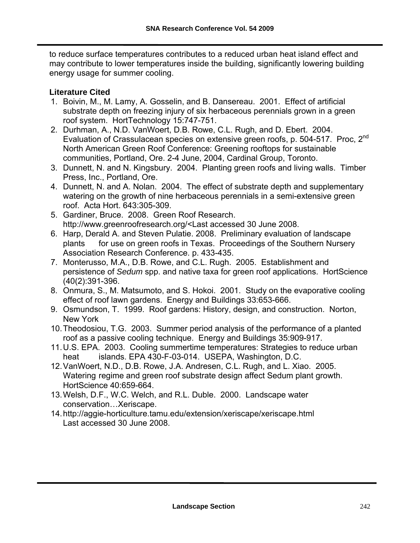to reduce surface temperatures contributes to a reduced urban heat island effect and may contribute to lower temperatures inside the building, significantly lowering building energy usage for summer cooling.

#### **Literature Cited**

- 1. Boivin, M., M. Lamy, A. Gosselin, and B. Dansereau. 2001. Effect of artificial substrate depth on freezing injury of six herbaceous perennials grown in a green roof system. HortTechnology 15:747-751.
- 2. Durhman, A., N.D. VanWoert, D.B. Rowe, C.L. Rugh, and D. Ebert. 2004. Evaluation of Crassulacean species on extensive green roofs, p. 504-517. Proc, 2<sup>nd</sup> North American Green Roof Conference: Greening rooftops for sustainable communities, Portland, Ore. 2-4 June, 2004, Cardinal Group, Toronto.
- 3. Dunnett, N. and N. Kingsbury. 2004. Planting green roofs and living walls. Timber Press, Inc., Portland, Ore.
- 4. Dunnett, N. and A. Nolan. 2004. The effect of substrate depth and supplementary watering on the growth of nine herbaceous perennials in a semi-extensive green roof. Acta Hort. 643:305-309.
- 5. Gardiner, Bruce. 2008. Green Roof Research. http://www.greenroofresearch.org/<Last accessed 30 June 2008.
- 6. Harp, Derald A. and Steven Pulatie. 2008. Preliminary evaluation of landscape plants for use on green roofs in Texas. Proceedings of the Southern Nursery Association Research Conference. p. 433-435.
- 7. Monterusso, M.A., D.B. Rowe, and C.L. Rugh. 2005. Establishment and persistence of *Sedum* spp. and native taxa for green roof applications. HortScience (40(2):391-396.
- 8. Onmura, S., M. Matsumoto, and S. Hokoi. 2001. Study on the evaporative cooling effect of roof lawn gardens. Energy and Buildings 33:653-666.
- 9. Osmundson, T. 1999. Roof gardens: History, design, and construction. Norton, New York
- 10. Theodosiou, T.G. 2003. Summer period analysis of the performance of a planted roof as a passive cooling technique. Energy and Buildings 35:909-917.
- 11. U.S. EPA. 2003. Cooling summertime temperatures: Strategies to reduce urban heat islands. EPA 430-F-03-014. USEPA, Washington, D.C.
- 12. VanWoert, N.D., D.B. Rowe, J.A. Andresen, C.L. Rugh, and L. Xiao. 2005. Watering regime and green roof substrate design affect Sedum plant growth. HortScience 40:659-664.
- 13. Welsh, D.F., W.C. Welch, and R.L. Duble. 2000. Landscape water conservation…Xeriscape.
- 14. http://aggie-horticulture.tamu.edu/extension/xeriscape/xeriscape.html Last accessed 30 June 2008.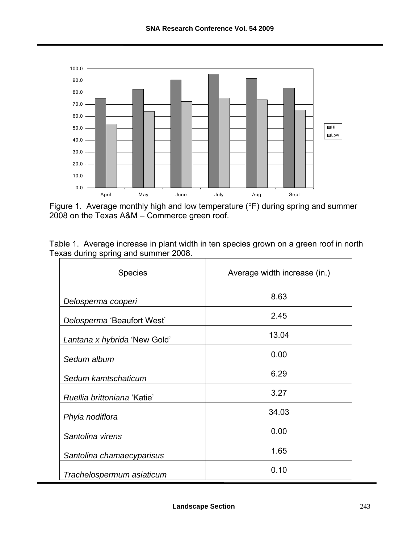

Figure 1. Average monthly high and low temperature (°F) during spring and summer 2008 on the Texas A&M – Commerce green roof.

| Table 1. Average increase in plant width in ten species grown on a green roof in north |  |  |  |  |  |  |
|----------------------------------------------------------------------------------------|--|--|--|--|--|--|
| Texas during spring and summer 2008.                                                   |  |  |  |  |  |  |

| <b>Species</b>               | Average width increase (in.) |  |  |  |  |
|------------------------------|------------------------------|--|--|--|--|
| Delosperma cooperi           | 8.63                         |  |  |  |  |
| Delosperma 'Beaufort West'   | 2.45                         |  |  |  |  |
| Lantana x hybrida 'New Gold' | 13.04                        |  |  |  |  |
| Sedum album                  | 0.00                         |  |  |  |  |
| Sedum kamtschaticum          | 6.29                         |  |  |  |  |
| Ruellia brittoniana 'Katie'  | 3.27                         |  |  |  |  |
| Phyla nodiflora              | 34.03                        |  |  |  |  |
| Santolina virens             | 0.00                         |  |  |  |  |
| Santolina chamaecyparisus    | 1.65                         |  |  |  |  |
| Trachelospermum asiaticum    | 0.10                         |  |  |  |  |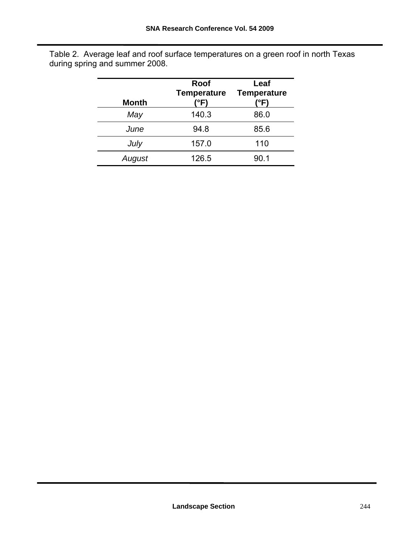| <b>Month</b> | Roof<br><b>Temperature</b><br>'°F) | Leaf<br><b>Temperature</b><br>'°F) |
|--------------|------------------------------------|------------------------------------|
| May          | 140.3                              | 86.0                               |
| June         | 94.8                               | 85.6                               |
| July         | 157.0                              | 110                                |
| August       | 126.5                              | 90.1                               |

Table 2. Average leaf and roof surface temperatures on a green roof in north Texas during spring and summer 2008.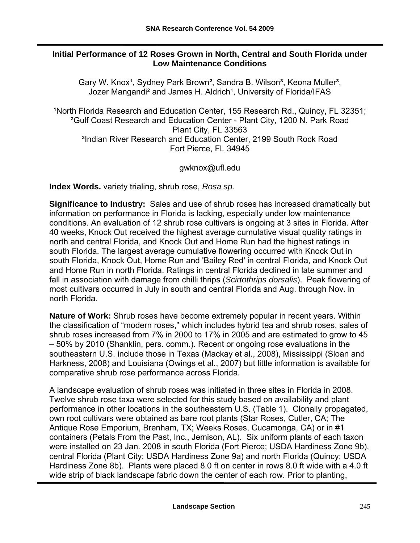#### **Initial Performance of 12 Roses Grown in North, Central and South Florida under Low Maintenance Conditions**

Gary W. Knox<sup>1</sup>, Sydney Park Brown<sup>2</sup>, Sandra B. Wilson<sup>3</sup>, Keona Muller<sup>3</sup>, Jozer Mangandi<sup>2</sup> and James H. Aldrich<sup>1</sup>, University of Florida/IFAS

**North Florida Research and Education Center, 155 Research Rd., Quincy, FL 32351;** ²Gulf Coast Research and Education Center - Plant City, 1200 N. Park Road Plant City, FL 33563 <sup>3</sup>Indian River Research and Education Center, 2199 South Rock Road Fort Pierce, FL 34945

#### [gwknox@ufl.edu](mailto:gwknox@ufl.edu)

**Index Words.** variety trialing, shrub rose, *Rosa sp.* 

**Significance to Industry:** Sales and use of shrub roses has increased dramatically but information on performance in Florida is lacking, especially under low maintenance conditions. An evaluation of 12 shrub rose cultivars is ongoing at 3 sites in Florida. After 40 weeks, Knock Out received the highest average cumulative visual quality ratings in north and central Florida, and Knock Out and Home Run had the highest ratings in south Florida. The largest average cumulative flowering occurred with Knock Out in south Florida, Knock Out, Home Run and 'Bailey Red' in central Florida, and Knock Out and Home Run in north Florida. Ratings in central Florida declined in late summer and fall in association with damage from chilli thrips (*Scirtothrips dorsalis*). Peak flowering of most cultivars occurred in July in south and central Florida and Aug. through Nov. in north Florida.

**Nature of Work:** Shrub roses have become extremely popular in recent years. Within the classification of "modern roses," which includes hybrid tea and shrub roses, sales of shrub roses increased from 7% in 2000 to 17% in 2005 and are estimated to grow to 45 – 50% by 2010 (Shanklin, pers. comm.). Recent or ongoing rose evaluations in the southeastern U.S. include those in Texas (Mackay et al., 2008), Mississippi (Sloan and Harkness, 2008) and Louisiana (Owings et al., 2007) but little information is available for comparative shrub rose performance across Florida.

A landscape evaluation of shrub roses was initiated in three sites in Florida in 2008. Twelve shrub rose taxa were selected for this study based on availability and plant performance in other locations in the southeastern U.S. (Table 1). Clonally propagated, own root cultivars were obtained as bare root plants (Star Roses, Cutler, CA; The Antique Rose Emporium, Brenham, TX; Weeks Roses, Cucamonga, CA) or in #1 containers (Petals From the Past, Inc., Jemison, AL). Six uniform plants of each taxon were installed on 23 Jan. 2008 in south Florida (Fort Pierce; USDA Hardiness Zone 9b), central Florida (Plant City; USDA Hardiness Zone 9a) and north Florida (Quincy; USDA Hardiness Zone 8b). Plants were placed 8.0 ft on center in rows 8.0 ft wide with a 4.0 ft wide strip of black landscape fabric down the center of each row. Prior to planting,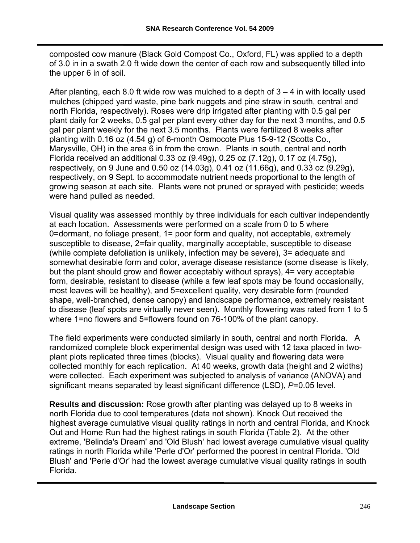composted cow manure (Black Gold Compost Co., Oxford, FL) was applied to a depth of 3.0 in in a swath 2.0 ft wide down the center of each row and subsequently tilled into the upper 6 in of soil.

After planting, each 8.0 ft wide row was mulched to a depth of  $3 - 4$  in with locally used mulches (chipped yard waste, pine bark nuggets and pine straw in south, central and north Florida, respectively). Roses were drip irrigated after planting with 0.5 gal per plant daily for 2 weeks, 0.5 gal per plant every other day for the next 3 months, and 0.5 gal per plant weekly for the next 3.5 months. Plants were fertilized 8 weeks after planting with 0.16 oz (4.54 g) of 6-month Osmocote Plus 15-9-12 (Scotts Co., Marysville, OH) in the area 6 in from the crown. Plants in south, central and north Florida received an additional 0.33 oz (9.49g), 0.25 oz (7.12g), 0.17 oz (4.75g), respectively, on 9 June and 0.50 oz (14.03g), 0.41 oz (11.66g), and 0.33 oz (9.29g), respectively, on 9 Sept. to accommodate nutrient needs proportional to the length of growing season at each site. Plants were not pruned or sprayed with pesticide; weeds were hand pulled as needed.

Visual quality was assessed monthly by three individuals for each cultivar independently at each location. Assessments were performed on a scale from 0 to 5 where 0=dormant, no foliage present, 1= poor form and quality, not acceptable, extremely susceptible to disease, 2=fair quality, marginally acceptable, susceptible to disease (while complete defoliation is unlikely, infection may be severe), 3= adequate and somewhat desirable form and color, average disease resistance (some disease is likely, but the plant should grow and flower acceptably without sprays), 4= very acceptable form, desirable, resistant to disease (while a few leaf spots may be found occasionally, most leaves will be healthy), and 5=excellent quality, very desirable form (rounded shape, well-branched, dense canopy) and landscape performance, extremely resistant to disease (leaf spots are virtually never seen). Monthly flowering was rated from 1 to 5 where 1=no flowers and 5=flowers found on 76-100% of the plant canopy.

The field experiments were conducted similarly in south, central and north Florida. A randomized complete block experimental design was used with 12 taxa placed in twoplant plots replicated three times (blocks). Visual quality and flowering data were collected monthly for each replication. At 40 weeks, growth data (height and 2 widths) were collected. Each experiment was subjected to analysis of variance (ANOVA) and significant means separated by least significant difference (LSD), *P*=0.05 level.

**Results and discussion:** Rose growth after planting was delayed up to 8 weeks in north Florida due to cool temperatures (data not shown). Knock Out received the highest average cumulative visual quality ratings in north and central Florida, and Knock Out and Home Run had the highest ratings in south Florida (Table 2). At the other extreme, 'Belinda's Dream' and 'Old Blush' had lowest average cumulative visual quality ratings in north Florida while 'Perle d'Or' performed the poorest in central Florida. 'Old Blush' and 'Perle d'Or' had the lowest average cumulative visual quality ratings in south Florida.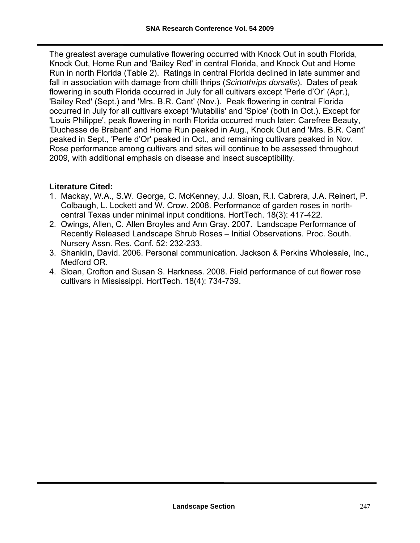The greatest average cumulative flowering occurred with Knock Out in south Florida, Knock Out, Home Run and 'Bailey Red' in central Florida, and Knock Out and Home Run in north Florida (Table 2). Ratings in central Florida declined in late summer and fall in association with damage from chilli thrips (*Scirtothrips dorsalis*). Dates of peak flowering in south Florida occurred in July for all cultivars except 'Perle d'Or' (Apr.), 'Bailey Red' (Sept.) and 'Mrs. B.R. Cant' (Nov.). Peak flowering in central Florida occurred in July for all cultivars except 'Mutabilis' and 'Spice' (both in Oct.). Except for 'Louis Philippe', peak flowering in north Florida occurred much later: Carefree Beauty, 'Duchesse de Brabant' and Home Run peaked in Aug., Knock Out and 'Mrs. B.R. Cant' peaked in Sept., 'Perle d'Or' peaked in Oct., and remaining cultivars peaked in Nov. Rose performance among cultivars and sites will continue to be assessed throughout 2009, with additional emphasis on disease and insect susceptibility.

#### **Literature Cited:**

- 1. Mackay, W.A., S.W. George, C. McKenney, J.J. Sloan, R.I. Cabrera, J.A. Reinert, P. Colbaugh, L. Lockett and W. Crow. 2008. Performance of garden roses in north central Texas under minimal input conditions. HortTech. 18(3): 417-422.
- 2. Owings, Allen, C. Allen Broyles and Ann Gray. 2007. Landscape Performance of Recently Released Landscape Shrub Roses – Initial Observations. Proc. South. Nursery Assn. Res. Conf. 52: 232-233.
- 3. Shanklin, David. 2006. Personal communication. Jackson & Perkins Wholesale, Inc., Medford OR.
- 4. Sloan, Crofton and Susan S. Harkness. 2008. Field performance of cut flower rose cultivars in Mississippi. HortTech. 18(4): 734-739.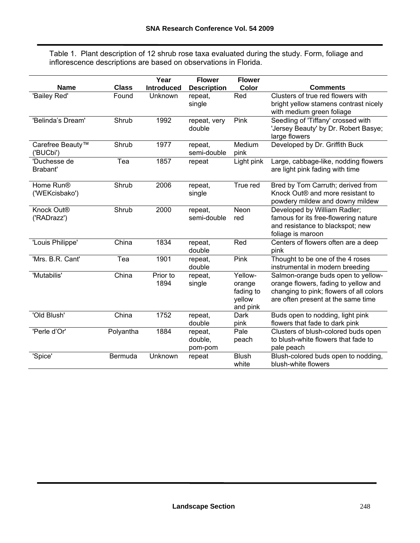Table 1. Plant description of 12 shrub rose taxa evaluated during the study. Form, foliage and inflorescence descriptions are based on observations in Florida.

|                              |              | Year              | <b>Flower</b>          | <b>Flower</b>       |                                                                                 |
|------------------------------|--------------|-------------------|------------------------|---------------------|---------------------------------------------------------------------------------|
| <b>Name</b>                  | <b>Class</b> | <b>Introduced</b> | <b>Description</b>     | Color               | <b>Comments</b>                                                                 |
| 'Bailey Red'                 | Found        | Unknown           | repeat,                | Red                 | Clusters of true red flowers with                                               |
|                              |              |                   | single                 |                     | bright yellow stamens contrast nicely                                           |
|                              |              |                   |                        |                     | with medium green foliage                                                       |
| 'Belinda's Dream'            | Shrub        | 1992              | repeat, very<br>double | Pink                | Seedling of 'Tiffany' crossed with                                              |
|                              |              |                   |                        |                     | 'Jersey Beauty' by Dr. Robert Basye;<br>large flowers                           |
| Carefree Beauty <sup>™</sup> | Shrub        | 1977              | repeat,                | Medium              | Developed by Dr. Griffith Buck                                                  |
| 'BUCbi')                     |              |                   | semi-double            | pink                |                                                                                 |
| 'Duchesse de                 | Tea          | 1857              | repeat                 | Light pink          | Large, cabbage-like, nodding flowers                                            |
| Brabant'                     |              |                   |                        |                     | are light pink fading with time                                                 |
| Home Run®                    | Shrub        | 2006              | repeat,                | True red            | Bred by Tom Carruth; derived from                                               |
| ('WEKcisbako')               |              |                   | single                 |                     | Knock Out <sup>®</sup> and more resistant to                                    |
|                              |              |                   |                        |                     | powdery mildew and downy mildew                                                 |
| Knock Out <sup>®</sup>       | Shrub        | 2000              | repeat,                | <b>Neon</b>         | Developed by William Radler;                                                    |
| ('RADrazz')                  |              |                   | semi-double            | red                 | famous for its free-flowering nature                                            |
|                              |              |                   |                        |                     | and resistance to blackspot; new                                                |
|                              |              |                   |                        |                     | foliage is maroon                                                               |
| 'Louis Philippe'             | China        | 1834              | repeat,                | Red                 | Centers of flowers often are a deep                                             |
|                              |              |                   | double                 |                     | pink                                                                            |
| 'Mrs. B.R. Cant'             | Tea          | 1901              | repeat,<br>double      | Pink                | Thought to be one of the 4 roses                                                |
| 'Mutabilis'                  |              |                   |                        | Yellow-             | instrumental in modern breeding                                                 |
|                              | China        | Prior to<br>1894  | repeat,                |                     | Salmon-orange buds open to yellow-                                              |
|                              |              |                   | single                 | orange<br>fading to | orange flowers, fading to yellow and<br>changing to pink; flowers of all colors |
|                              |              |                   |                        | yellow              | are often present at the same time                                              |
|                              |              |                   |                        | and pink            |                                                                                 |
| 'Old Blush'                  | China        | 1752              | repeat,                | Dark                | Buds open to nodding, light pink                                                |
|                              |              |                   | double                 | pink                | flowers that fade to dark pink                                                  |
| 'Perle d'Or'                 | Polyantha    | 1884              | repeat,                | Pale                | Clusters of blush-colored buds open                                             |
|                              |              |                   | double,                | peach               | to blush-white flowers that fade to                                             |
|                              |              |                   | pom-pom                |                     | pale peach                                                                      |
| 'Spice'                      | Bermuda      | Unknown           | repeat                 | <b>Blush</b>        | Blush-colored buds open to nodding,                                             |
|                              |              |                   |                        | white               | blush-white flowers                                                             |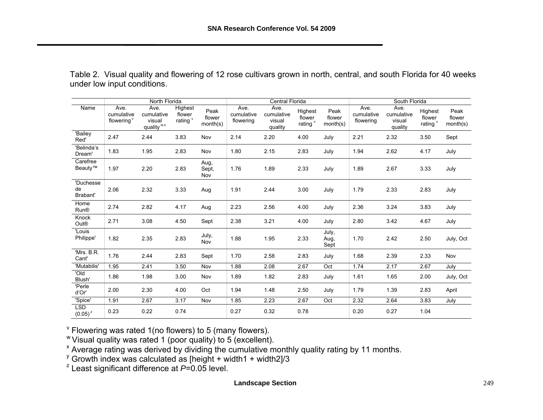| Table 2. Visual quality and flowering of 12 rose cultivars grown in north, central, and south Florida for 40 weeks |  |  |  |
|--------------------------------------------------------------------------------------------------------------------|--|--|--|
| under low input conditions.                                                                                        |  |  |  |

|                             | North Florida                                |                                                        |                                          |                            | Central Florida                 |                                         |                               |                            | South Florida                   |                                         |                               |                            |
|-----------------------------|----------------------------------------------|--------------------------------------------------------|------------------------------------------|----------------------------|---------------------------------|-----------------------------------------|-------------------------------|----------------------------|---------------------------------|-----------------------------------------|-------------------------------|----------------------------|
| Name                        | Ave.<br>cumulative<br>flowering <sup>v</sup> | Ave.<br>cumulative<br>visual<br>quality <sup>w,x</sup> | Highest<br>flower<br>rating <sup>v</sup> | Peak<br>flower<br>month(s) | Ave.<br>cumulative<br>flowering | Ave.<br>cumulative<br>visual<br>quality | Highest<br>flower<br>rating v | Peak<br>flower<br>month(s) | Ave.<br>cumulative<br>flowering | Ave.<br>cumulative<br>visual<br>quality | Highest<br>flower<br>rating v | Peak<br>flower<br>month(s) |
| 'Bailey<br>Red'             | 2.47                                         | 2.44                                                   | 3.83                                     | Nov                        | 2.14                            | 2.20                                    | 4.00                          | July                       | 2.21                            | 2.32                                    | 3.50                          | Sept                       |
| 'Belinda's<br>Dream'        | 1.83                                         | 1.95                                                   | 2.83                                     | Nov                        | 1.80                            | 2.15                                    | 2.83                          | July                       | 1.94                            | 2.62                                    | 4.17                          | July                       |
| Carefree<br>Beauty™         | 1.97                                         | 2.20                                                   | 2.83                                     | Aug,<br>Sept,<br>Nov       | 1.76                            | 1.89                                    | 2.33                          | July                       | 1.89                            | 2.67                                    | 3.33                          | July                       |
| 'Duchesse<br>de<br>Brabant' | 2.06                                         | 2.32                                                   | 3.33                                     | Aug                        | 1.91                            | 2.44                                    | 3.00                          | July                       | 1.79                            | 2.33                                    | 2.83                          | July                       |
| Home<br><b>Run®</b>         | 2.74                                         | 2.82                                                   | 4.17                                     | Aug                        | 2.23                            | 2.56                                    | 4.00                          | July                       | 2.36                            | 3.24                                    | 3.83                          | July                       |
| Knock<br>Out®               | 2.71                                         | 3.08                                                   | 4.50                                     | Sept                       | 2.38                            | 3.21                                    | 4.00                          | July                       | 2.80                            | 3.42                                    | 4.67                          | July                       |
| 'Louis<br>Philippe'         | 1.82                                         | 2.35                                                   | 2.83                                     | July,<br>Nov               | 1.88                            | 1.95                                    | 2.33                          | July,<br>Aug,<br>Sept      | 1.70                            | 2.42                                    | 2.50                          | July, Oct                  |
| 'Mrs. B.R.<br>Cant'         | 1.76                                         | 2.44                                                   | 2.83                                     | Sept                       | 1.70                            | 2.58                                    | 2.83                          | July                       | 1.68                            | 2.39                                    | 2.33                          | Nov                        |
| 'Mutabilis'                 | 1.95                                         | 2.41                                                   | 3.50                                     | Nov                        | 1.88                            | 2.08                                    | 2.67                          | Oct                        | 1.74                            | 2.17                                    | 2.67                          | July                       |
| 'Old<br>Blush'              | 1.86                                         | 1.98                                                   | 3.00                                     | Nov                        | 1.89                            | 1.82                                    | 2.83                          | July                       | 1.61                            | 1.65                                    | 2.00                          | July, Oct                  |
| 'Perle<br>d'Or'             | 2.00                                         | 2.30                                                   | 4.00                                     | Oct                        | 1.94                            | 1.48                                    | 2.50                          | July                       | 1.79                            | 1.39                                    | 2.83                          | April                      |
| 'Spice'                     | 1.91                                         | 2.67                                                   | 3.17                                     | Nov                        | 1.85                            | 2.23                                    | 2.67                          | Oct                        | 2.32                            | 2.64                                    | 3.83                          | July                       |
| LSD<br>$(0.05)^{z}$         | 0.23                                         | 0.22                                                   | 0.74                                     |                            | 0.27                            | 0.32                                    | 0.78                          |                            | 0.20                            | 0.27                                    | 1.04                          |                            |

 $\mathrm{v}$  Flowering was rated 1(no flowers) to 5 (many flowers).

w Visual quality was rated 1 (poor quality) to 5 (excellent).

<sup>x</sup> Average rating was derived by dividing the cumulative monthly quality rating by 11 months.

 $\frac{y}{y}$  Growth index was calculated as [height + width1 + width2]/3

z Least significant difference at *P*=0.05 level.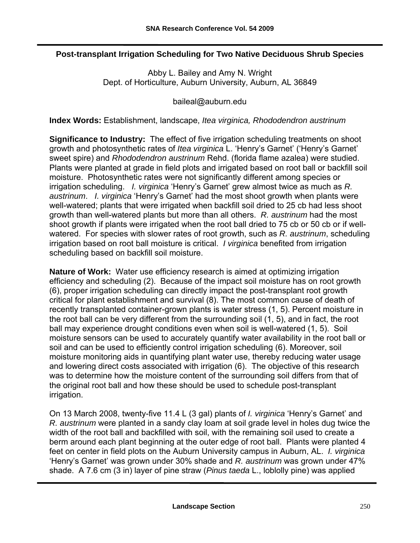#### **Post-transplant Irrigation Scheduling for Two Native Deciduous Shrub Species**

Abby L. Bailey and Amy N. Wright Dept. of Horticulture, Auburn University, Auburn, AL 36849

[baileal@auburn.edu](mailto:baileal@auburn.edu) 

**Index Words:** Establishment, landscape, *Itea virginica, Rhododendron austrinum*

**Significance to Industry:** The effect of five irrigation scheduling treatments on shoot growth and photosynthetic rates of *Itea virginica* L. 'Henry's Garnet' ('Henry's Garnet' sweet spire) and *Rhododendron austrinum* Rehd. (florida flame azalea) were studied. Plants were planted at grade in field plots and irrigated based on root ball or backfill soil moisture. Photosynthetic rates were not significantly different among species or irrigation scheduling. *I. virginica* 'Henry's Garnet' grew almost twice as much as *R. austrinum*. *I. virginica* 'Henry's Garnet' had the most shoot growth when plants were well-watered; plants that were irrigated when backfill soil dried to 25 cb had less shoot growth than well-watered plants but more than all others. *R. austrinum* had the most shoot growth if plants were irrigated when the root ball dried to 75 cb or 50 cb or if wellwatered. For species with slower rates of root growth, such as *R. austrinum*, scheduling irrigation based on root ball moisture is critical. *I virginica* benefited from irrigation scheduling based on backfill soil moisture.

**Nature of Work:** Water use efficiency research is aimed at optimizing irrigation efficiency and scheduling (2). Because of the impact soil moisture has on root growth (6), proper irrigation scheduling can directly impact the post-transplant root growth critical for plant establishment and survival (8). The most common cause of death of recently transplanted container-grown plants is water stress (1, 5). Percent moisture in the root ball can be very different from the surrounding soil (1, 5), and in fact, the root ball may experience drought conditions even when soil is well-watered (1, 5). Soil moisture sensors can be used to accurately quantify water availability in the root ball or soil and can be used to efficiently control irrigation scheduling (6). Moreover, soil moisture monitoring aids in quantifying plant water use, thereby reducing water usage and lowering direct costs associated with irrigation (6). The objective of this research was to determine how the moisture content of the surrounding soil differs from that of the original root ball and how these should be used to schedule post-transplant irrigation.

On 13 March 2008, twenty-five 11.4 L (3 gal) plants of *I. virginica* 'Henry's Garnet' and *R. austrinum* were planted in a sandy clay loam at soil grade level in holes dug twice the width of the root ball and backfilled with soil, with the remaining soil used to create a berm around each plant beginning at the outer edge of root ball. Plants were planted 4 feet on center in field plots on the Auburn University campus in Auburn, AL. *I. virginica* 'Henry's Garnet' was grown under 30% shade and *R. austrinum* was grown under 47% shade. A 7.6 cm (3 in) layer of pine straw (*Pinus taeda* L., loblolly pine) was applied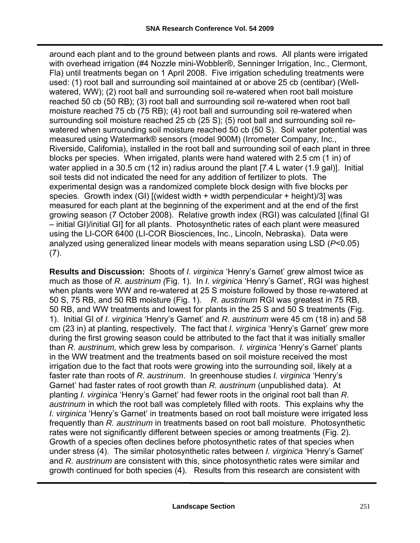around each plant and to the ground between plants and rows. All plants were irrigated with overhead irrigation (#4 Nozzle mini-Wobbler<sup>®</sup>, Senninger Irrigation, Inc., Clermont, Fla) until treatments began on 1 April 2008. Five irrigation scheduling treatments were used: (1) root ball and surrounding soil maintained at or above 25 cb (centibar) (Wellwatered, WW); (2) root ball and surrounding soil re-watered when root ball moisture reached 50 cb (50 RB); (3) root ball and surrounding soil re-watered when root ball moisture reached 75 cb (75 RB); (4) root ball and surrounding soil re-watered when surrounding soil moisture reached 25 cb (25 S); (5) root ball and surrounding soil rewatered when surrounding soil moisture reached 50 cb (50 S). Soil water potential was measured using Watermark® sensors (model 900M) (Irrometer Company, Inc., Riverside, California), installed in the root ball and surrounding soil of each plant in three blocks per species. When irrigated, plants were hand watered with 2.5 cm (1 in) of water applied in a 30.5 cm (12 in) radius around the plant [7.4 L water (1.9 gal)]. Initial soil tests did not indicated the need for any addition of fertilizer to plots. The experimental design was a randomized complete block design with five blocks per species. Growth index (GI)  $\lceil$  (widest width + width perpendicular + height)/3] was measured for each plant at the beginning of the experiment and at the end of the first growing season (7 October 2008). Relative growth index (RGI) was calculated [(final GI – initial GI)/initial GI] for all plants. Photosynthetic rates of each plant were measured using the LI-COR 6400 (LI-COR Biosciences, Inc., Lincoln, Nebraska). Data were analyzed using generalized linear models with means separation using LSD (*P*<0.05) (7).

**Results and Discussion:** Shoots of *I. virginica* 'Henry's Garnet' grew almost twice as much as those of *R. austrinum (*Fig. 1). In *I. virginica* 'Henry's Garnet', RGI was highest when plants were WW and re-watered at 25 S moisture followed by those re-watered at 50 S, 75 RB, and 50 RB moisture (Fig. 1). *R. austrinum* RGI was greatest in 75 RB, 50 RB, and WW treatments and lowest for plants in the 25 S and 50 S treatments (Fig. 1). Initial GI of *I. virginica* 'Henry's Garnet' and *R. austrinum* were 45 cm (18 in) and 58 cm (23 in) at planting, respectively. The fact that *I. virginica* 'Henry's Garnet' grew more during the first growing season could be attributed to the fact that it was initially smaller than *R. austrinum,* which grew less by comparison. *I. virginica* 'Henry's Garnet' plants in the WW treatment and the treatments based on soil moisture received the most irrigation due to the fact that roots were growing into the surrounding soil, likely at a faster rate than roots of *R. austrinum*. In greenhouse studies *I. virginica* 'Henry's Garnet' had faster rates of root growth than *R. austrinum* (unpublished data). At planting *I. virginica* 'Henry's Garnet' had fewer roots in the original root ball than *R. austrinum* in which the root ball was completely filled with roots. This explains why the *I. virginica* 'Henry's Garnet' in treatments based on root ball moisture were irrigated less frequently than *R. austrinum* in treatments based on root ball moisture. Photosynthetic rates were not significantly different between species or among treatments (Fig. 2). Growth of a species often declines before photosynthetic rates of that species when under stress (4). The similar photosynthetic rates between *I. virginica* 'Henry's Garnet' and *R. austrinum* are consistent with this, since photosynthetic rates were similar and growth continued for both species (4). Results from this research are consistent with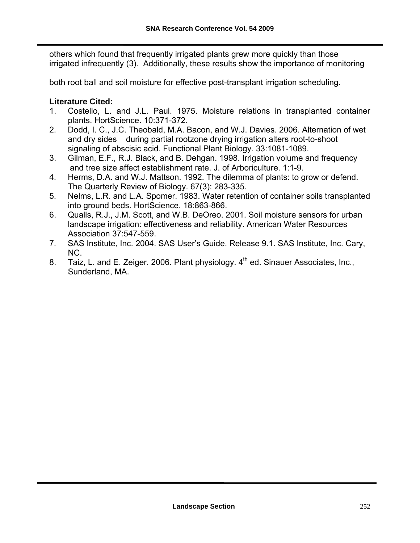others which found that frequently irrigated plants grew more quickly than those irrigated infrequently (3). Additionally, these results show the importance of monitoring

both root ball and soil moisture for effective post-transplant irrigation scheduling.

#### **Literature Cited:**

- 1. Costello, L. and J.L. Paul. 1975. Moisture relations in transplanted container plants. HortScience. 10:371-372.
- 2. Dodd, I. C., J.C. Theobald, M.A. Bacon, and W.J. Davies. 2006. Alternation of wet and dry sides during partial rootzone drying irrigation alters root-to-shoot signaling of abscisic acid. Functional Plant Biology. 33:1081-1089.
- 3. Gilman, E.F., R.J. Black, and B. Dehgan. 1998. Irrigation volume and frequency and tree size affect establishment rate. J. of Arboriculture. 1:1-9.
- 4. Herms, D.A. and W.J. Mattson. 1992. The dilemma of plants: to grow or defend. The Quarterly Review of Biology. 67(3): 283-335.
- 5. Nelms, L.R. and L.A. Spomer. 1983. Water retention of container soils transplanted into ground beds. HortScience. 18:863-866.
- 6. Qualls, R.J., J.M. Scott, and W.B. DeOreo. 2001. Soil moisture sensors for urban landscape irrigation: effectiveness and reliability. American Water Resources Association 37:547-559.
- 7. SAS Institute, Inc. 2004. SAS User's Guide. Release 9.1. SAS Institute, Inc. Cary, NC.
- 8. Taiz, L. and E. Zeiger. 2006. Plant physiology.  $4<sup>th</sup>$  ed. Sinauer Associates, Inc., Sunderland, MA.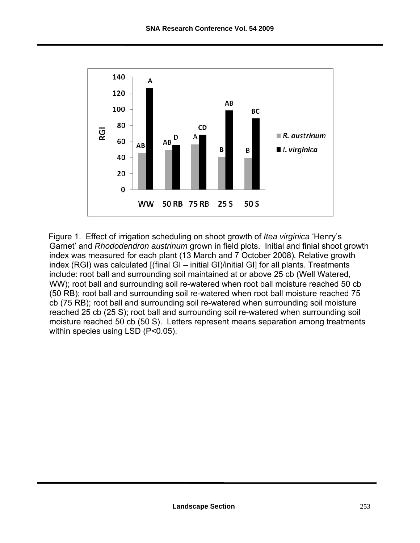

Figure 1. Effect of irrigation scheduling on shoot growth of *Itea virginica* 'Henry's Garnet' and *Rhododendron austrinum* grown in field plots. Initial and finial shoot growth index was measured for each plant (13 March and 7 October 2008)*.* Relative growth index (RGI) was calculated [(final GI – initial GI)/initial GI] for all plants. Treatments include: root ball and surrounding soil maintained at or above 25 cb (Well Watered, WW); root ball and surrounding soil re-watered when root ball moisture reached 50 cb (50 RB); root ball and surrounding soil re-watered when root ball moisture reached 75 cb (75 RB); root ball and surrounding soil re-watered when surrounding soil moisture reached 25 cb (25 S); root ball and surrounding soil re-watered when surrounding soil moisture reached 50 cb (50 S). Letters represent means separation among treatments within species using LSD (P<0.05).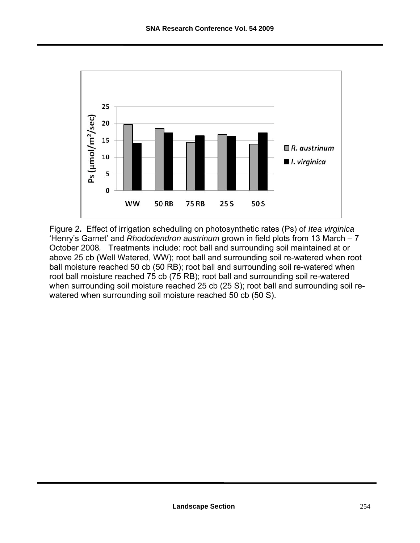

Figure 2**.** Effect of irrigation scheduling on photosynthetic rates (Ps) of *Itea virginica* 'Henry's Garnet' and *Rhododendron austrinum* grown in field plots from 13 March – 7 October 2008*.* Treatments include: root ball and surrounding soil maintained at or above 25 cb (Well Watered, WW); root ball and surrounding soil re-watered when root ball moisture reached 50 cb (50 RB); root ball and surrounding soil re-watered when root ball moisture reached 75 cb (75 RB); root ball and surrounding soil re-watered when surrounding soil moisture reached 25 cb (25 S); root ball and surrounding soil rewatered when surrounding soil moisture reached 50 cb (50 S).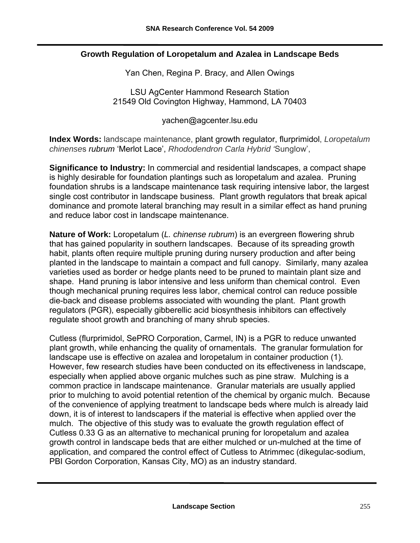#### **Growth Regulation of Loropetalum and Azalea in Landscape Beds**

Yan Chen, Regina P. Bracy, and Allen Owings

LSU AgCenter Hammond Research Station 21549 Old Covington Highway, Hammond, LA 70403

[yachen@agcenter.lsu.edu](mailto:yachen@agcenter.lsu.edu) 

**Index Words:** landscape maintenance, plant growth regulator, flurprimidol, *Loropetalum chinense*s *rubrum* 'Merlot Lace', *Rhododendron Carla Hybrid '*Sunglow',

**Significance to Industry:** In commercial and residential landscapes, a compact shape is highly desirable for foundation plantings such as loropetalum and azalea. Pruning foundation shrubs is a landscape maintenance task requiring intensive labor, the largest single cost contributor in landscape business. Plant growth regulators that break apical dominance and promote lateral branching may result in a similar effect as hand pruning and reduce labor cost in landscape maintenance.

**Nature of Work:** Loropetalum (*L. chinense rubrum*) is an evergreen flowering shrub that has gained popularity in southern landscapes. Because of its spreading growth habit, plants often require multiple pruning during nursery production and after being planted in the landscape to maintain a compact and full canopy. Similarly, many azalea varieties used as border or hedge plants need to be pruned to maintain plant size and shape. Hand pruning is labor intensive and less uniform than chemical control. Even though mechanical pruning requires less labor, chemical control can reduce possible die-back and disease problems associated with wounding the plant. Plant growth regulators (PGR), especially gibberellic acid biosynthesis inhibitors can effectively regulate shoot growth and branching of many shrub species.

Cutless (flurprimidol, SePRO Corporation, Carmel, IN) is a PGR to reduce unwanted plant growth, while enhancing the quality of ornamentals. The granular formulation for landscape use is effective on azalea and loropetalum in container production (1). However, few research studies have been conducted on its effectiveness in landscape, especially when applied above organic mulches such as pine straw. Mulching is a common practice in landscape maintenance. Granular materials are usually applied prior to mulching to avoid potential retention of the chemical by organic mulch. Because of the convenience of applying treatment to landscape beds where mulch is already laid down, it is of interest to landscapers if the material is effective when applied over the mulch. The objective of this study was to evaluate the growth regulation effect of Cutless 0.33 G as an alternative to mechanical pruning for loropetalum and azalea growth control in landscape beds that are either mulched or un-mulched at the time of application, and compared the control effect of Cutless to Atrimmec (dikegulac-sodium, PBI Gordon Corporation, Kansas City, MO) as an industry standard.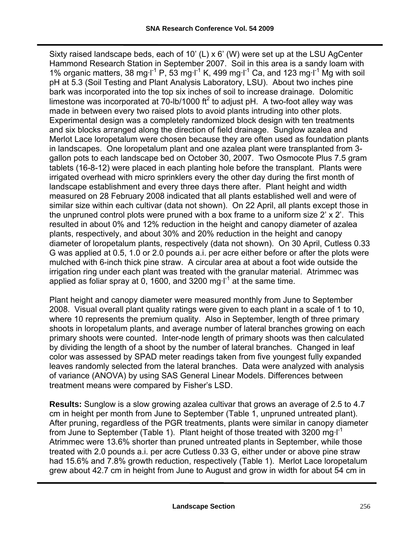Sixty raised landscape beds, each of 10' (L) x 6' (W) were set up at the LSU AgCenter Hammond Research Station in September 2007. Soil in this area is a sandy loam with 1% organic matters, 38 mg·l<sup>-1</sup> P, 53 mg·l<sup>-1</sup> K, 499 mg·l<sup>-1</sup> Ca, and 123 mg·l<sup>-1</sup> Mg with soil pH at 5.3 (Soil Testing and Plant Analysis Laboratory, LSU). About two inches pine bark was incorporated into the top six inches of soil to increase drainage. Dolomitic limestone was incorporated at 70-lb/1000  $\text{ft}^2$  to adjust pH. A two-foot alley way was made in between every two raised plots to avoid plants intruding into other plots. Experimental design was a completely randomized block design with ten treatments and six blocks arranged along the direction of field drainage. Sunglow azalea and Merlot Lace loropetalum were chosen because they are often used as foundation plants in landscapes. One loropetalum plant and one azalea plant were transplanted from 3 gallon pots to each landscape bed on October 30, 2007. Two Osmocote Plus 7.5 gram tablets (16-8-12) were placed in each planting hole before the transplant. Plants were irrigated overhead with micro sprinklers every the other day during the first month of landscape establishment and every three days there after. Plant height and width measured on 28 February 2008 indicated that all plants established well and were of similar size within each cultivar (data not shown). On 22 April, all plants except those in the unpruned control plots were pruned with a box frame to a uniform size 2' x 2'. This resulted in about 0% and 12% reduction in the height and canopy diameter of azalea plants, respectively, and about 30% and 20% reduction in the height and canopy diameter of loropetalum plants, respectively (data not shown). On 30 April, Cutless 0.33 G was applied at 0.5, 1.0 or 2.0 pounds a.i. per acre either before or after the plots were mulched with 6-inch thick pine straw. A circular area at about a foot wide outside the irrigation ring under each plant was treated with the granular material. Atrimmec was applied as foliar spray at 0, 1600, and 3200 mg $I^1$  at the same time.

Plant height and canopy diameter were measured monthly from June to September 2008. Visual overall plant quality ratings were given to each plant in a scale of 1 to 10, where 10 represents the premium quality. Also in September, length of three primary shoots in loropetalum plants, and average number of lateral branches growing on each primary shoots were counted. Inter-node length of primary shoots was then calculated by dividing the length of a shoot by the number of lateral branches. Changed in leaf color was assessed by SPAD meter readings taken from five youngest fully expanded leaves randomly selected from the lateral branches. Data were analyzed with analysis of variance (ANOVA) by using SAS General Linear Models. Differences between treatment means were compared by Fisher's LSD.

**Results:** Sunglow is a slow growing azalea cultivar that grows an average of 2.5 to 4.7 cm in height per month from June to September (Table 1, unpruned untreated plant). After pruning, regardless of the PGR treatments, plants were similar in canopy diameter from June to September (Table 1). Plant height of those treated with 3200 mg $I^1$ Atrimmec were 13.6% shorter than pruned untreated plants in September, while those treated with 2.0 pounds a.i. per acre Cutless 0.33 G, either under or above pine straw had 15.6% and 7.8% growth reduction, respectively (Table 1). Merlot Lace loropetalum grew about 42.7 cm in height from June to August and grow in width for about 54 cm in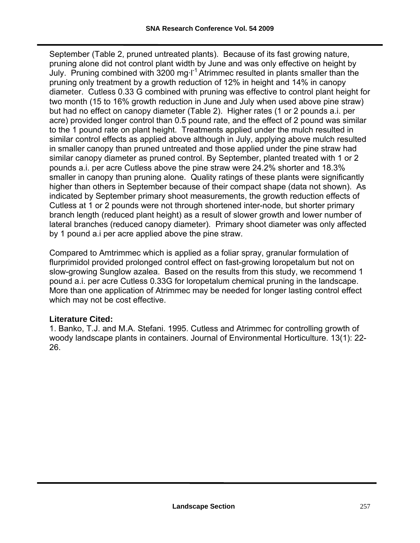September (Table 2, pruned untreated plants). Because of its fast growing nature, pruning alone did not control plant width by June and was only effective on height by July. Pruning combined with  $3200$  mg·l<sup>-1</sup> Atrimmec resulted in plants smaller than the pruning only treatment by a growth reduction of 12% in height and 14% in canopy diameter. Cutless 0.33 G combined with pruning was effective to control plant height for two month (15 to 16% growth reduction in June and July when used above pine straw) but had no effect on canopy diameter (Table 2). Higher rates (1 or 2 pounds a.i. per acre) provided longer control than 0.5 pound rate, and the effect of 2 pound was similar to the 1 pound rate on plant height. Treatments applied under the mulch resulted in similar control effects as applied above although in July, applying above mulch resulted in smaller canopy than pruned untreated and those applied under the pine straw had similar canopy diameter as pruned control. By September, planted treated with 1 or 2 pounds a.i. per acre Cutless above the pine straw were 24.2% shorter and 18.3% smaller in canopy than pruning alone. Quality ratings of these plants were significantly higher than others in September because of their compact shape (data not shown). As indicated by September primary shoot measurements, the growth reduction effects of Cutless at 1 or 2 pounds were not through shortened inter-node, but shorter primary branch length (reduced plant height) as a result of slower growth and lower number of lateral branches (reduced canopy diameter). Primary shoot diameter was only affected by 1 pound a.i per acre applied above the pine straw.

Compared to Amtrimmec which is applied as a foliar spray, granular formulation of flurprimidol provided prolonged control effect on fast-growing loropetalum but not on slow-growing Sunglow azalea. Based on the results from this study, we recommend 1 pound a.i. per acre Cutless 0.33G for loropetalum chemical pruning in the landscape. More than one application of Atrimmec may be needed for longer lasting control effect which may not be cost effective.

#### **Literature Cited:**

1. Banko, T.J. and M.A. Stefani. 1995. Cutless and Atrimmec for controlling growth of woody landscape plants in containers. Journal of Environmental Horticulture. 13(1): 22- 26.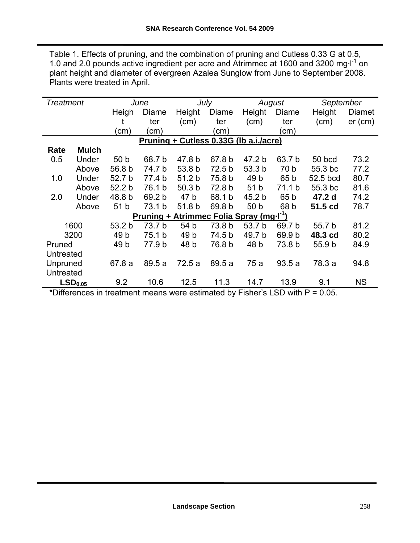Table 1. Effects of pruning, and the combination of pruning and Cutless 0.33 G at 0.5, 1.0 and 2.0 pounds active ingredient per acre and Atrimmec at 1600 and 3200 mg·l<sup>-1</sup> on plant height and diameter of evergreen Azalea Sunglow from June to September 2008. Plants were treated in April.

| <b>Treatment</b> |                     |                   | June                                                         |                   | July                   |                           | August                   | September                   |           |
|------------------|---------------------|-------------------|--------------------------------------------------------------|-------------------|------------------------|---------------------------|--------------------------|-----------------------------|-----------|
|                  |                     | Heigh             | Diame                                                        | Height            | Diame                  | Height                    | Diame                    | Height                      | Diamet    |
|                  |                     |                   | ter                                                          | (cm)              | ter                    | (cm)                      | ter                      | (cm)                        | $er$ (cm) |
|                  |                     | (cm)              | (cm)                                                         |                   | (cm                    |                           | (cm)                     |                             |           |
|                  |                     |                   | Pruning + Cutless 0.33G (Ib a.i./acre)                       |                   |                        |                           |                          |                             |           |
| Rate             | <b>Mulch</b>        |                   |                                                              |                   |                        |                           |                          |                             |           |
| 0.5              | Under               | 50 <sub>b</sub>   | 68.7 b                                                       | 47.8 b            | 67.8 b                 | 47.2 b                    | 63.7 b                   | 50 bcd                      | 73.2      |
|                  | Above               | 56.8 b            | 74.7 b                                                       | 53.8 b            | 72.5 b                 | 53.3 b                    | 70 b                     | 55.3 bc                     | 77.2      |
| 1.0              | Under               | 52.7 b            | 77.4 b                                                       | 51.2 <sub>b</sub> | 75.8 b                 | 49 <sub>b</sub>           | 65 b                     | 52.5 bcd                    | 80.7      |
|                  | Above               | 52.2 <sub>b</sub> | 76.1 b                                                       | 50.3 <sub>b</sub> | 72.8 b                 | 51 <sub>b</sub>           | 71.1 b                   | 55.3 bc                     | 81.6      |
| 2.0              | Under               | 48.8 b            | 69.2 b                                                       | 47 b              | 68.1 b                 | 45.2 b                    | 65 b                     | 47.2 d                      | 74.2      |
|                  | Above               | 51 <sub>b</sub>   | 73.1 b                                                       | 51.8 b            | 69.8 b                 | 50 b                      | 68 b                     | 51.5 cd                     | 78.7      |
|                  |                     |                   | <u>Pruning + Atrimmec Folia Spray (mg</u> .I <sup>-1</sup> ) |                   |                        |                           |                          |                             |           |
|                  | 1600                | 53.2 <sub>b</sub> | 73.7 b                                                       | 54 b              | 73.8 b                 | 53.7 b                    | 69.7 b                   | 55.7 b                      | 81.2      |
|                  | 3200                | 49 <sub>b</sub>   | 75.1 b                                                       | 49 <sub>b</sub>   | 74.5 b                 | 49.7 b                    | 69.9 b                   | 48.3 cd                     | 80.2      |
| Pruned           |                     | 49 <sub>b</sub>   | 77.9 b                                                       | 48 b              | 76.8 b                 | 48 b                      | 73.8 b                   | 55.9 b                      | 84.9      |
| Untreated        |                     |                   |                                                              |                   |                        |                           |                          |                             |           |
| Unpruned         |                     | 67.8 a            | 89.5a                                                        | 72.5a             | 89.5a                  | 75 a                      | 93.5a                    | 78.3 a                      | 94.8      |
| Untreated        |                     |                   |                                                              |                   |                        |                           |                          |                             |           |
| $+$ $  -$        | LSD <sub>0.05</sub> | 9.2               | 10.6                                                         | 12.5              | 11.3<br>$-1$ $-1$ $-1$ | 14.7<br><b>ELL</b> J. LOD | 13.9<br>. <del>. .</del> | 9.1<br>$\sim$ $\sim$ $\sim$ | ΝS        |

\*Differences in treatment means were estimated by Fisher's LSD with P = 0.05.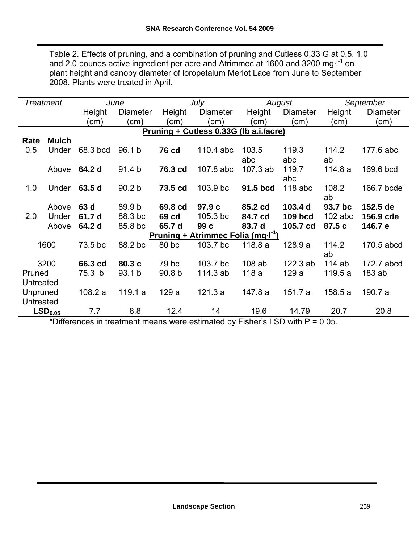Table 2. Effects of pruning, and a combination of pruning and Cutless 0.33 G at 0.5, 1.0 and 2.0 pounds active ingredient per acre and Atrimmec at 1600 and 3200 mg·l<sup>-1</sup> on plant height and canopy diameter of loropetalum Merlot Lace from June to September 2008. Plants were treated in April.

|                  | <b>Treatment</b>    |          | June              |                   | July                                                |            | August         |           | September  |
|------------------|---------------------|----------|-------------------|-------------------|-----------------------------------------------------|------------|----------------|-----------|------------|
|                  |                     | Height   | <b>Diameter</b>   | Height            | <b>Diameter</b>                                     | Height     | Diameter       | Height    | Diameter   |
|                  |                     | (cm)     | (cm)              | (cm)              | (cm)                                                | (cm)       | (cm)           | (cm)      | (cm)       |
|                  |                     |          |                   |                   | Pruning + Cutless 0.33G (Ib a.i./acre)              |            |                |           |            |
| Rate             | <b>Mulch</b>        |          |                   |                   |                                                     |            |                |           |            |
| 0.5              | Under               | 68.3 bcd | 96.1 b            | <b>76 cd</b>      | 110.4 abc                                           | 103.5      | 119.3          | 114.2     | 177.6 abc  |
|                  |                     |          |                   |                   |                                                     | abc        | abc            | ab        |            |
|                  | Above               | 64.2 d   | 91.4 <sub>b</sub> | 76.3 cd           | 107.8 abc                                           | $107.3$ ab | 119.7          | 114.8a    | 169.6 bcd  |
|                  |                     |          |                   |                   |                                                     |            | abc            |           |            |
| 1.0              | Under               | 63.5 d   | 90.2 <sub>b</sub> | 73.5 cd           | 103.9 bc                                            | 91.5 bcd   | $118$ abc      | 108.2     | 166.7 bcde |
|                  |                     |          |                   |                   |                                                     |            |                | ab        |            |
|                  | Above               | 63 d     | 89.9 b            | 69.8 cd           | 97.9 c                                              | 85.2 cd    | 103.4 d        | 93.7 bc   | 152.5 de   |
| 2.0              | Under               | 61.7 d   | 88.3 bc           | 69 cd             | 105.3 bc                                            | 84.7 cd    | <b>109 bcd</b> | $102$ abc | 156.9 cde  |
|                  | Above               | 64.2 d   | 85.8 bc           | 65.7 d            | 99 c                                                | 83.7 d     | 105.7 cd       | 87.5 c    | 146.7 e    |
|                  |                     |          |                   |                   | <u>Pruning + Atrimmec Folia (mg-I<sup>-1</sup>)</u> |            |                |           |            |
|                  | 1600                | 73.5 bc  | 88.2 bc           | 80 bc             | 103.7 bc                                            | 118.8 a    | 128.9a         | 114.2     | 170.5 abcd |
|                  |                     |          |                   |                   |                                                     |            |                | ab        |            |
|                  | 3200                | 66.3 cd  | 80.3 c            | 79 bc             | 103.7 bc                                            | $108$ ab   | 122.3 ab       | 114ab     | 172.7 abcd |
| Pruned           |                     | 75.3 b   | 93.1 b            | 90.8 <sub>b</sub> | 114.3 ab                                            | 118 a      | 129 a          | 119.5a    | $183$ ab   |
| Untreated        |                     |          |                   |                   |                                                     |            |                |           |            |
| Unpruned         |                     | 108.2a   | 119.1a            | 129a              | 121.3a                                              | 147.8 a    | 151.7 a        | 158.5 a   | 190.7 a    |
| <b>Untreated</b> |                     |          |                   |                   |                                                     |            |                |           |            |
|                  | LSD <sub>0.05</sub> | 7.7      | 8.8               | 12.4              | 14                                                  | 19.6       | 14.79          | 20.7      | 20.8       |

\*Differences in treatment means were estimated by Fisher's LSD with P = 0.05.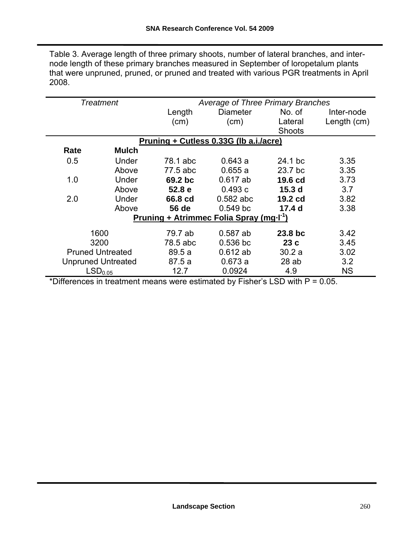Table 3. Average length of three primary shoots, number of lateral branches, and internode length of these primary branches measured in September of loropetalum plants that were unpruned, pruned, or pruned and treated with various PGR treatments in April 2008.

|      | <b>Treatment</b>          |          | Average of Three Primary Branches                    |                   |             |  |  |  |
|------|---------------------------|----------|------------------------------------------------------|-------------------|-------------|--|--|--|
|      |                           | Length   | <b>Diameter</b>                                      | No. of            | Inter-node  |  |  |  |
|      |                           | (cm)     | (cm)                                                 | Lateral           | Length (cm) |  |  |  |
|      |                           |          |                                                      | Shoots            |             |  |  |  |
|      |                           |          | Pruning + Cutless 0.33G (lb a.i./acre)               |                   |             |  |  |  |
| Rate | <b>Mulch</b>              |          |                                                      |                   |             |  |  |  |
| 0.5  | Under                     | 78.1 abc | 0.643a                                               | 24.1 bc           | 3.35        |  |  |  |
|      | Above                     | 77.5 abc | 0.655a                                               | 23.7 bc           | 3.35        |  |  |  |
| 1.0  | Under                     | 69.2 bc  | $0.617$ ab                                           | 19.6 cd           | 3.73        |  |  |  |
|      | Above                     | 52.8 e   | 0.493c                                               | 15.3 <sub>d</sub> | 3.7         |  |  |  |
| 2.0  | Under                     | 66.8 cd  | $0.582$ abc                                          | 19.2 cd           | 3.82        |  |  |  |
|      | Above                     | 56 de    | $0.549$ bc                                           | 17.4 <sub>d</sub> | 3.38        |  |  |  |
|      |                           |          | Pruning + Atrimmec Folia Spray (mg.I <sup>-1</sup> ) |                   |             |  |  |  |
|      | 1600                      | 79.7 ab  | $0.587$ ab                                           | 23.8 bc           | 3.42        |  |  |  |
|      | 3200                      | 78.5 abc | $0.536$ bc                                           | 23c               | 3.45        |  |  |  |
|      | <b>Pruned Untreated</b>   |          | $0.612$ ab                                           | 30.2a             | 3.02        |  |  |  |
|      | <b>Unpruned Untreated</b> | 87.5a    | 0.673a                                               | 28ab              | 3.2         |  |  |  |
|      | LSD <sub>0.05</sub>       | 12.7     | 0.0924                                               | 4.9               | <b>NS</b>   |  |  |  |

\*Differences in treatment means were estimated by Fisher's LSD with P = 0.05.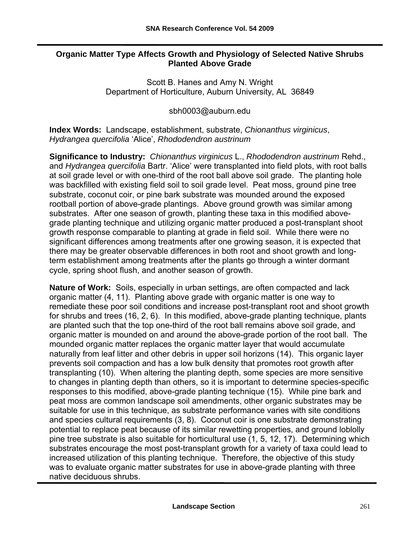#### **Organic Matter Type Affects Growth and Physiology of Selected Native Shrubs Planted Above Grade**

Scott B. Hanes and Amy N. Wright Department of Horticulture, Auburn University, AL 36849

[sbh0003@auburn.edu](mailto:sbh0003@auburn.edu) 

**Index Words:** Landscape, establishment, substrate, *Chionanthus virginicus*, *Hydrangea quercifolia* 'Alice', *Rhododendron austrinum*

**Significance to Industry:** *Chionanthus virginicus* L., *Rhododendron austrinum* Rehd., and *Hydrangea quercifolia* Bartr. 'Alice' were transplanted into field plots, with root balls at soil grade level or with one-third of the root ball above soil grade. The planting hole was backfilled with existing field soil to soil grade level. Peat moss, ground pine tree substrate, coconut coir, or pine bark substrate was mounded around the exposed rootball portion of above-grade plantings. Above ground growth was similar among substrates. After one season of growth, planting these taxa in this modified abovegrade planting technique and utilizing organic matter produced a post-transplant shoot growth response comparable to planting at grade in field soil. While there were no significant differences among treatments after one growing season, it is expected that there may be greater observable differences in both root and shoot growth and longterm establishment among treatments after the plants go through a winter dormant cycle, spring shoot flush, and another season of growth.

**Nature of Work:** Soils, especially in urban settings, are often compacted and lack organic matter (4, 11). Planting above grade with organic matter is one way to remediate these poor soil conditions and increase post-transplant root and shoot growth for shrubs and trees (16, 2, 6). In this modified, above-grade planting technique, plants are planted such that the top one-third of the root ball remains above soil grade, and organic matter is mounded on and around the above-grade portion of the root ball. The mounded organic matter replaces the organic matter layer that would accumulate naturally from leaf litter and other debris in upper soil horizons (14). This organic layer prevents soil compaction and has a low bulk density that promotes root growth after transplanting (10). When altering the planting depth, some species are more sensitive to changes in planting depth than others, so it is important to determine species-specific responses to this modified, above-grade planting technique (15). While pine bark and peat moss are common landscape soil amendments, other organic substrates may be suitable for use in this technique, as substrate performance varies with site conditions and species cultural requirements (3, 8). Coconut coir is one substrate demonstrating potential to replace peat because of its similar rewetting properties, and ground loblolly pine tree substrate is also suitable for horticultural use (1, 5, 12, 17). Determining which substrates encourage the most post-transplant growth for a variety of taxa could lead to increased utilization of this planting technique. Therefore, the objective of this study was to evaluate organic matter substrates for use in above-grade planting with three native deciduous shrubs.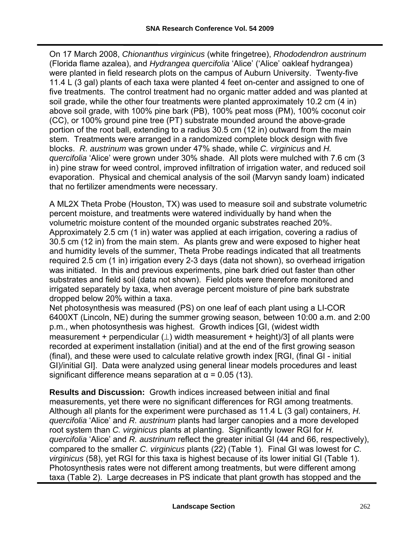On 17 March 2008, *Chionanthus virginicus* (white fringetree), *Rhododendron austrinum* (Florida flame azalea), and *Hydrangea quercifolia* 'Alice' ('Alice' oakleaf hydrangea) were planted in field research plots on the campus of Auburn University. Twenty-five 11.4 L (3 gal) plants of each taxa were planted 4 feet on-center and assigned to one of five treatments. The control treatment had no organic matter added and was planted at soil grade, while the other four treatments were planted approximately 10.2 cm (4 in) above soil grade, with 100% pine bark (PB), 100% peat moss (PM), 100% coconut coir (CC), or 100% ground pine tree (PT) substrate mounded around the above-grade portion of the root ball, extending to a radius 30.5 cm (12 in) outward from the main stem. Treatments were arranged in a randomized complete block design with five blocks. *R. austrinum* was grown under 47% shade, while *C. virginicus* and *H. quercifolia* 'Alice' were grown under 30% shade. All plots were mulched with 7.6 cm (3 in) pine straw for weed control, improved infiltration of irrigation water, and reduced soil evaporation. Physical and chemical analysis of the soil (Marvyn sandy loam) indicated that no fertilizer amendments were necessary.

A ML2X Theta Probe (Houston, TX) was used to measure soil and substrate volumetric percent moisture, and treatments were watered individually by hand when the volumetric moisture content of the mounded organic substrates reached 20%. Approximately 2.5 cm (1 in) water was applied at each irrigation, covering a radius of 30.5 cm (12 in) from the main stem. As plants grew and were exposed to higher heat and humidity levels of the summer, Theta Probe readings indicated that all treatments required 2.5 cm (1 in) irrigation every 2-3 days (data not shown), so overhead irrigation was initiated. In this and previous experiments, pine bark dried out faster than other substrates and field soil (data not shown). Field plots were therefore monitored and irrigated separately by taxa, when average percent moisture of pine bark substrate dropped below 20% within a taxa.

Net photosynthesis was measured (PS) on one leaf of each plant using a LI-COR 6400XT (Lincoln, NE) during the summer growing season, between 10:00 a.m. and 2:00 p.m., when photosynthesis was highest. Growth indices [GI, (widest width measurement + perpendicular  $($   $\perp$ ) width measurement + height)/3] of all plants were recorded at experiment installation (initial) and at the end of the first growing season (final), and these were used to calculate relative growth index [RGI, (final GI - initial GI)/initial GI]. Data were analyzed using general linear models procedures and least significant difference means separation at  $\alpha$  = 0.05 (13).

**Results and Discussion:** Growth indices increased between initial and final measurements, yet there were no significant differences for RGI among treatments. Although all plants for the experiment were purchased as 11.4 L (3 gal) containers, *H. quercifolia* 'Alice' and *R. austrinum* plants had larger canopies and a more developed root system than *C. virginicus* plants at planting. Significantly lower RGI for *H. quercifolia* 'Alice' and *R. austrinum* reflect the greater initial GI (44 and 66, respectively), compared to the smaller *C. virginicus* plants (22) (Table 1). Final GI was lowest for *C. virginicus* (58), yet RGI for this taxa is highest because of its lower initial GI (Table 1). Photosynthesis rates were not different among treatments, but were different among taxa (Table 2). Large decreases in PS indicate that plant growth has stopped and the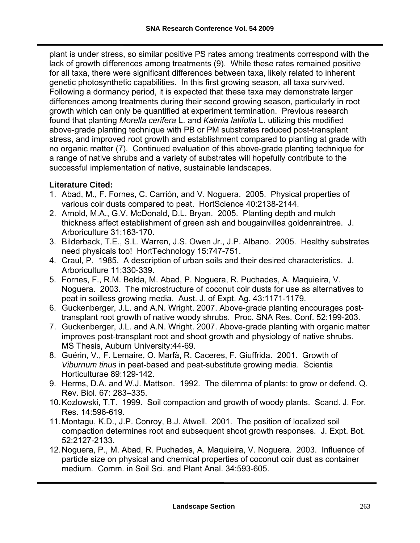plant is under stress, so similar positive PS rates among treatments correspond with the lack of growth differences among treatments (9). While these rates remained positive for all taxa, there were significant differences between taxa, likely related to inherent genetic photosynthetic capabilities. In this first growing season, all taxa survived. Following a dormancy period, it is expected that these taxa may demonstrate larger differences among treatments during their second growing season, particularly in root growth which can only be quantified at experiment termination. Previous research found that planting *Morella cerifera* L. and *Kalmia latifolia* L. utilizing this modified above-grade planting technique with PB or PM substrates reduced post-transplant stress, and improved root growth and establishment compared to planting at grade with no organic matter (7). Continued evaluation of this above-grade planting technique for a range of native shrubs and a variety of substrates will hopefully contribute to the successful implementation of native, sustainable landscapes.

#### **Literature Cited:**

- 1. Abad, M., F. Fornes, C. Carrión, and V. Noguera. 2005. Physical properties of various coir dusts compared to peat. HortScience 40:2138-2144.
- 2. Arnold, M.A., G.V. McDonald, D.L. Bryan. 2005. Planting depth and mulch thickness affect establishment of green ash and bougainvillea goldenraintree. J. Arboriculture 31:163-170.
- 3. Bilderback, T.E., S.L. Warren, J.S. Owen Jr., J.P. Albano. 2005. Healthy substrates need physicals too! HortTechnology 15:747-751.
- 4. Craul, P. 1985. A description of urban soils and their desired characteristics. J. Arboriculture 11:330-339.
- 5. Fornes, F., R.M. Belda, M. Abad, P. Noguera, R. Puchades, A. Maquieira, V. Noguera. 2003. The microstructure of coconut coir dusts for use as alternatives to peat in soilless growing media. Aust. J. of Expt. Ag. 43:1171-1179.
- 6. Guckenberger, J.L. and A.N. Wright. 2007. Above-grade planting encourages posttransplant root growth of native woody shrubs. Proc. SNA Res. Conf. 52:199-203.
- 7. Guckenberger, J.L. and A.N. Wright. 2007. Above-grade planting with organic matter improves post-transplant root and shoot growth and physiology of native shrubs. MS Thesis, Auburn University:44-69.
- 8. Guérin, V., F. Lemaire, O. Marfà, R. Caceres, F. Giuffrida. 2001. Growth of *Viburnum tinus* in peat-based and peat-substitute growing media. Scientia Horticulturae 89:129-142.
- 9. Herms, D.A. and W.J. Mattson. 1992. The dilemma of plants: to grow or defend. Q. Rev. Biol. 67: 283–335.
- 10. Kozlowski, T.T. 1999. Soil compaction and growth of woody plants. Scand. J. For. Res. 14:596-619.
- 11. Montagu, K.D., J.P. Conroy, B.J. Atwell. 2001. The position of localized soil compaction determines root and subsequent shoot growth responses. J. Expt. Bot. 52:2127-2133.
- 12. Noguera, P., M. Abad, R. Puchades, A. Maquieira, V. Noguera. 2003. Influence of particle size on physical and chemical properties of coconut coir dust as container medium. Comm. in Soil Sci. and Plant Anal. 34:593-605.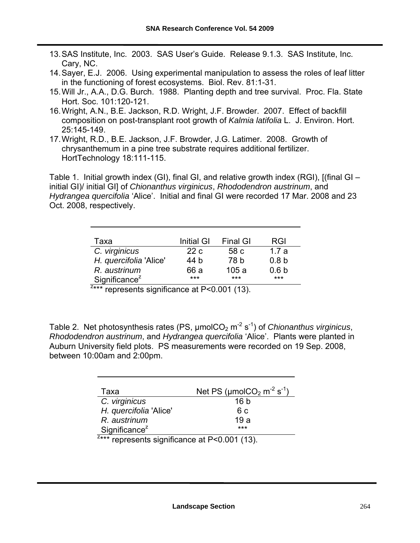- 13. SAS Institute, Inc. 2003. SAS User's Guide. Release 9.1.3. SAS Institute, Inc. Cary, NC.
- 14. Sayer, E.J. 2006. Using experimental manipulation to assess the roles of leaf litter in the functioning of forest ecosystems. Biol. Rev. 81:1-31.
- 15. Will Jr., A.A., D.G. Burch. 1988. Planting depth and tree survival. Proc. Fla. State Hort. Soc. 101:120-121.
- 16. Wright, A.N., B.E. Jackson, R.D. Wright, J.F. Browder. 2007. Effect of backfill composition on post-transplant root growth of *Kalmia latifolia* L. J. Environ. Hort. 25:145-149.
- 17. Wright, R.D., B.E. Jackson, J.F. Browder, J.G. Latimer. 2008. Growth of chrysanthemum in a pine tree substrate requires additional fertilizer. HortTechnology 18:111-115.

Table 1. Initial growth index (GI), final GI, and relative growth index (RGI), [(final GI – initial GI)/ initial GI] of *Chionanthus virginicus*, *Rhododendron austrinum*, and *Hydrangea quercifolia* 'Alice'. Initial and final GI were recorded 17 Mar. 2008 and 23 Oct. 2008, respectively.

| Taxa                                                     | Initial GI | <b>Final GI</b> | <b>RGI</b>       |  |  |  |  |
|----------------------------------------------------------|------------|-----------------|------------------|--|--|--|--|
| C. virginicus                                            | 22c        | 58 c            | 1.7a             |  |  |  |  |
| H. quercifolia 'Alice'                                   | 44 b       | 78 b            | 0.8 <sub>b</sub> |  |  |  |  |
| R. austrinum                                             | 66 a       | 105a            | 0.6 <sub>b</sub> |  |  |  |  |
| Significance <sup><math>z</math></sup>                   | $***$      | ***             | $***$            |  |  |  |  |
| <sup>2***</sup> represents significance at P<0.001 (13). |            |                 |                  |  |  |  |  |

Table 2. Net photosynthesis rates (PS,  $\mu$ molCO<sub>2</sub> m<sup>-2</sup> s<sup>-1</sup>) of *Chionanthus virginicus*, *Rhododendron austrinum*, and *Hydrangea quercifolia* 'Alice'. Plants were planted in Auburn University field plots. PS measurements were recorded on 19 Sep. 2008, between 10:00am and 2:00pm.

| Taxa                                            | Net PS ( $\mu$ molCO <sub>2</sub> m <sup>-2</sup> s <sup>-1</sup> ) |  |  |  |  |  |  |
|-------------------------------------------------|---------------------------------------------------------------------|--|--|--|--|--|--|
| C. virginicus                                   | 16 b                                                                |  |  |  |  |  |  |
| H. quercifolia 'Alice'                          | 6 c                                                                 |  |  |  |  |  |  |
| R. austrinum                                    | 19a                                                                 |  |  |  |  |  |  |
| Significance <sup>z</sup>                       | $***$                                                               |  |  |  |  |  |  |
| $z***$ represents significance at P<0.001 (13). |                                                                     |  |  |  |  |  |  |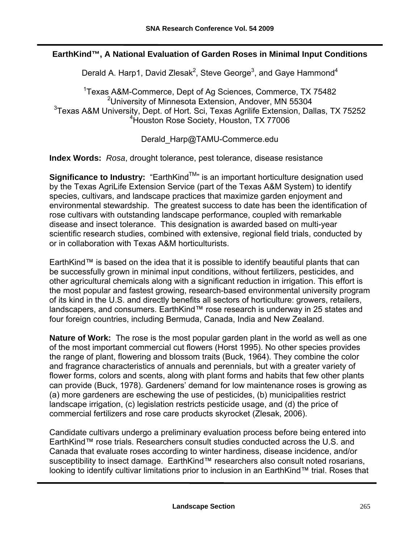#### **EarthKind™, A National Evaluation of Garden Roses in Minimal Input Conditions**

Derald A. Harp1, David Zlesak<sup>2</sup>, Steve George<sup>3</sup>, and Gaye Hammond<sup>4</sup>

<sup>1</sup>Texas A&M-Commerce, Dept of Ag Sciences, Commerce, TX 75482 <sup>2</sup>University of Minnesota Extension, Andover, MN 55304 <sup>3</sup>Texas A&M University, Dept. of Hort. Sci, Texas Agrilife Extension, Dallas, TX 75252 4 Houston Rose Society, Houston, TX 77006

Derald\_Harp@TAMU-Commerce.edu

**Index Words:** *Rosa*, drought tolerance, pest tolerance, disease resistance

**Significance to Industry:** "EarthKind<sup>TM</sup>" is an important horticulture designation used by the Texas AgriLife Extension Service (part of the Texas A&M System) to identify species, cultivars, and landscape practices that maximize garden enjoyment and environmental stewardship. The greatest success to date has been the identification of rose cultivars with outstanding landscape performance, coupled with remarkable disease and insect tolerance. This designation is awarded based on multi-year scientific research studies, combined with extensive, regional field trials, conducted by or in collaboration with Texas A&M horticulturists.

EarthKind™ is based on the idea that it is possible to identify beautiful plants that can be successfully grown in minimal input conditions, without fertilizers, pesticides, and other agricultural chemicals along with a significant reduction in irrigation. This effort is the most popular and fastest growing, research-based environmental university program of its kind in the U.S. and directly benefits all sectors of horticulture: growers, retailers, landscapers, and consumers. EarthKind™ rose research is underway in 25 states and four foreign countries, including Bermuda, Canada, India and New Zealand.

**Nature of Work:** The rose is the most popular garden plant in the world as well as one of the most important commercial cut flowers (Horst 1995). No other species provides the range of plant, flowering and blossom traits (Buck, 1964). They combine the color and fragrance characteristics of annuals and perennials, but with a greater variety of flower forms, colors and scents, along with plant forms and habits that few other plants can provide (Buck, 1978). Gardeners' demand for low maintenance roses is growing as (a) more gardeners are eschewing the use of pesticides, (b) municipalities restrict landscape irrigation, (c) legislation restricts pesticide usage, and (d) the price of commercial fertilizers and rose care products skyrocket (Zlesak, 2006).

Candidate cultivars undergo a preliminary evaluation process before being entered into EarthKind™ rose trials. Researchers consult studies conducted across the U.S. and Canada that evaluate roses according to winter hardiness, disease incidence, and/or susceptibility to insect damage. EarthKind™ researchers also consult noted rosarians, looking to identify cultivar limitations prior to inclusion in an EarthKind™ trial. Roses that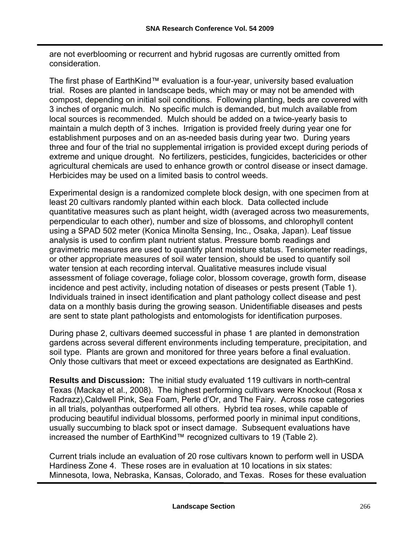are not everblooming or recurrent and hybrid rugosas are currently omitted from consideration.

The first phase of EarthKind™ evaluation is a four-year, university based evaluation trial. Roses are planted in landscape beds, which may or may not be amended with compost, depending on initial soil conditions. Following planting, beds are covered with 3 inches of organic mulch. No specific mulch is demanded, but mulch available from local sources is recommended. Mulch should be added on a twice-yearly basis to maintain a mulch depth of 3 inches. Irrigation is provided freely during year one for establishment purposes and on an as-needed basis during year two. During years three and four of the trial no supplemental irrigation is provided except during periods of extreme and unique drought. No fertilizers, pesticides, fungicides, bactericides or other agricultural chemicals are used to enhance growth or control disease or insect damage. Herbicides may be used on a limited basis to control weeds.

Experimental design is a randomized complete block design, with one specimen from at least 20 cultivars randomly planted within each block. Data collected include quantitative measures such as plant height, width (averaged across two measurements, perpendicular to each other), number and size of blossoms, and chlorophyll content using a SPAD 502 meter (Konica Minolta Sensing, Inc., Osaka, Japan). Leaf tissue analysis is used to confirm plant nutrient status. Pressure bomb readings and gravimetric measures are used to quantify plant moisture status. Tensiometer readings, or other appropriate measures of soil water tension, should be used to quantify soil water tension at each recording interval. Qualitative measures include visual assessment of foliage coverage, foliage color, blossom coverage, growth form, disease incidence and pest activity, including notation of diseases or pests present (Table 1). Individuals trained in insect identification and plant pathology collect disease and pest data on a monthly basis during the growing season. Unidentifiable diseases and pests are sent to state plant pathologists and entomologists for identification purposes.

During phase 2, cultivars deemed successful in phase 1 are planted in demonstration gardens across several different environments including temperature, precipitation, and soil type. Plants are grown and monitored for three years before a final evaluation. Only those cultivars that meet or exceed expectations are designated as EarthKind.

**Results and Discussion:** The initial study evaluated 119 cultivars in north-central Texas (Mackay et al., 2008). The highest performing cultivars were Knockout (Rosa x Radrazz),Caldwell Pink, Sea Foam, Perle d'Or, and The Fairy. Across rose categories in all trials, polyanthas outperformed all others. Hybrid tea roses, while capable of producing beautiful individual blossoms, performed poorly in minimal input conditions, usually succumbing to black spot or insect damage. Subsequent evaluations have increased the number of EarthKind™ recognized cultivars to 19 (Table 2).

Current trials include an evaluation of 20 rose cultivars known to perform well in USDA Hardiness Zone 4. These roses are in evaluation at 10 locations in six states: Minnesota, Iowa, Nebraska, Kansas, Colorado, and Texas. Roses for these evaluation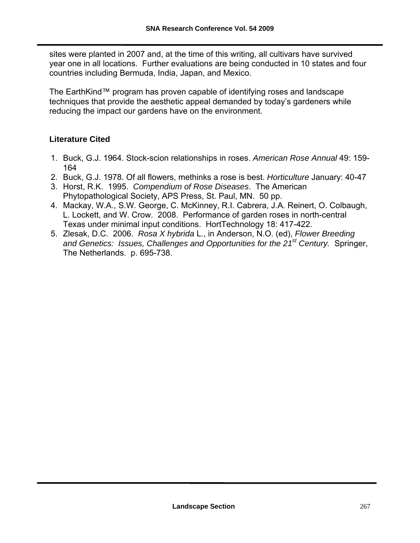sites were planted in 2007 and, at the time of this writing, all cultivars have survived year one in all locations. Further evaluations are being conducted in 10 states and four countries including Bermuda, India, Japan, and Mexico.

The EarthKind™ program has proven capable of identifying roses and landscape techniques that provide the aesthetic appeal demanded by today's gardeners while reducing the impact our gardens have on the environment.

#### **Literature Cited**

- 1. Buck, G.J. 1964. Stock-scion relationships in roses. *American Rose Annual* 49: 159- 164
- 2. Buck, G.J. 1978. Of all flowers, methinks a rose is best. *Horticulture* January: 40-47
- 3. Horst, R.K. 1995. *Compendium of Rose Diseases*. The American Phytopathological Society, APS Press, St. Paul, MN. 50 pp.
- 4. Mackay, W.A., S.W. George, C. McKinney, R.I. Cabrera, J.A. Reinert, O. Colbaugh, L. Lockett, and W. Crow. 2008. Performance of garden roses in north-central Texas under minimal input conditions. HortTechnology 18: 417-422.
- 5. Zlesak, D.C. 2006. *Rosa X hybrida* L., in Anderson, N.O. (ed), *Flower Breeding and Genetics: Issues, Challenges and Opportunities for the 21st Century.* Springer, The Netherlands. p. 695-738.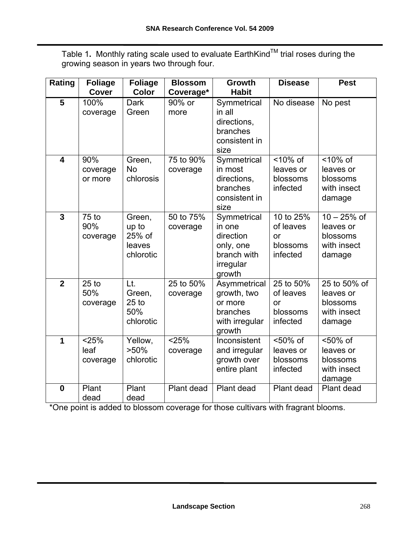Table 1. Monthly rating scale used to evaluate EarthKind<sup>™</sup> trial roses during the growing season in years two through four.

| Rating                  | <b>Foliage</b>             | <b>Foliage</b>                                        | <b>Blossom</b>        | <b>Growth</b>                                                                         | <b>Disease</b>                                       | <b>Pest</b>                                                     |
|-------------------------|----------------------------|-------------------------------------------------------|-----------------------|---------------------------------------------------------------------------------------|------------------------------------------------------|-----------------------------------------------------------------|
|                         | <b>Cover</b>               | <b>Color</b>                                          | Coverage*             | <b>Habit</b>                                                                          |                                                      |                                                                 |
| 5                       | 100%<br>coverage           | <b>Dark</b><br>Green                                  | 90% or<br>more        | Symmetrical<br>in all<br>directions,<br>branches<br>consistent in<br>size             | No disease                                           | No pest                                                         |
| $\overline{\mathbf{4}}$ | 90%<br>coverage<br>or more | Green,<br>No<br>chlorosis                             | 75 to 90%<br>coverage | Symmetrical<br>in most<br>directions,<br>branches<br>consistent in<br>size            | <10% of<br>leaves or<br>blossoms<br>infected         | <10% of<br>leaves or<br>blossoms<br>with insect<br>damage       |
| $\overline{3}$          | $75$ to<br>90%<br>coverage | Green,<br>up to<br>25% of<br>leaves<br>chlorotic      | 50 to 75%<br>coverage | Symmetrical<br>in one<br>direction<br>only, one<br>branch with<br>irregular<br>growth | 10 to 25%<br>of leaves<br>or<br>blossoms<br>infected | $10 - 25%$ of<br>leaves or<br>blossoms<br>with insect<br>damage |
| $\overline{2}$          | $25$ to<br>50%<br>coverage | Lt.<br>Green,<br>25 <sub>to</sub><br>50%<br>chlorotic | 25 to 50%<br>coverage | Asymmetrical<br>growth, two<br>or more<br>branches<br>with irregular<br>growth        | 25 to 50%<br>of leaves<br>or<br>blossoms<br>infected | 25 to 50% of<br>leaves or<br>blossoms<br>with insect<br>damage  |
| 1                       | < 25%<br>leaf<br>coverage  | Yellow,<br>$>50\%$<br>chlorotic                       | 25%<br>coverage       | Inconsistent<br>and irregular<br>growth over<br>entire plant                          | $50%$ of<br>leaves or<br>blossoms<br>infected        | <50% of<br>leaves or<br>blossoms<br>with insect<br>damage       |
| $\mathbf{0}$            | Plant<br>dead              | Plant<br>dead                                         | Plant dead            | Plant dead                                                                            | Plant dead                                           | Plant dead                                                      |

\*One point is added to blossom coverage for those cultivars with fragrant blooms.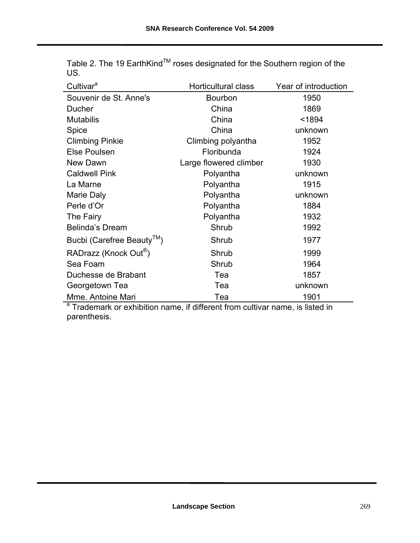| Cultivar <sup>a</sup>                                                                    | <b>Horticultural class</b><br>Year of introduction |         |  |  |
|------------------------------------------------------------------------------------------|----------------------------------------------------|---------|--|--|
| Souvenir de St. Anne's                                                                   | Bourbon                                            | 1950    |  |  |
| Ducher                                                                                   | China                                              | 1869    |  |  |
| <b>Mutabilis</b>                                                                         | China                                              | < 1894  |  |  |
| Spice                                                                                    | China<br>unknown                                   |         |  |  |
| <b>Climbing Pinkie</b>                                                                   | Climbing polyantha<br>1952                         |         |  |  |
| <b>Else Poulsen</b>                                                                      | Floribunda                                         | 1924    |  |  |
| New Dawn                                                                                 | Large flowered climber                             | 1930    |  |  |
| <b>Caldwell Pink</b>                                                                     | Polyantha                                          | unknown |  |  |
| La Marne                                                                                 | Polyantha                                          | 1915    |  |  |
| Marie Daly                                                                               | Polyantha                                          | unknown |  |  |
| Perle d'Or                                                                               | Polyantha<br>1884                                  |         |  |  |
| The Fairy                                                                                | Polyantha                                          | 1932    |  |  |
| <b>Belinda's Dream</b>                                                                   | Shrub                                              | 1992    |  |  |
| Bucbi (Carefree Beauty <sup>™</sup> )                                                    | Shrub                                              | 1977    |  |  |
| RADrazz (Knock Out <sup>®</sup> )                                                        | Shrub                                              | 1999    |  |  |
| Sea Foam                                                                                 | Shrub                                              | 1964    |  |  |
| Duchesse de Brabant                                                                      | Tea                                                | 1857    |  |  |
| Georgetown Tea                                                                           | Tea                                                | unknown |  |  |
| Mme. Antoine Mari                                                                        | Tea                                                | 1901    |  |  |
| <sup>a</sup> Trademark or exhibition name, if different from cultivar name, is listed in |                                                    |         |  |  |

Table 2. The 19 EarthKind™ roses designated for the Southern region of the US.

parenthesis.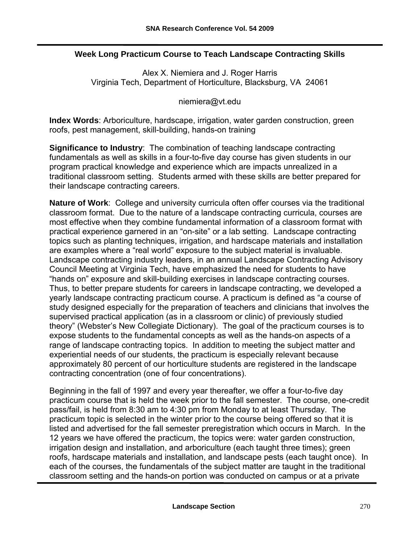#### **Week Long Practicum Course to Teach Landscape Contracting Skills**

Alex X. Niemiera and J. Roger Harris Virginia Tech, Department of Horticulture, Blacksburg, VA 24061

[niemiera@vt.edu](mailto:niemiera@vt.edu) 

**Index Words**: Arboriculture, hardscape, irrigation, water garden construction, green roofs, pest management, skill-building, hands-on training

**Significance to Industry**: The combination of teaching landscape contracting fundamentals as well as skills in a four-to-five day course has given students in our program practical knowledge and experience which are impacts unrealized in a traditional classroom setting. Students armed with these skills are better prepared for their landscape contracting careers.

**Nature of Work**: College and university curricula often offer courses via the traditional classroom format. Due to the nature of a landscape contracting curricula, courses are most effective when they combine fundamental information of a classroom format with practical experience garnered in an "on-site" or a lab setting. Landscape contracting topics such as planting techniques, irrigation, and hardscape materials and installation are examples where a "real world" exposure to the subject material is invaluable. Landscape contracting industry leaders, in an annual Landscape Contracting Advisory Council Meeting at Virginia Tech, have emphasized the need for students to have "hands on" exposure and skill-building exercises in landscape contracting courses. Thus, to better prepare students for careers in landscape contracting, we developed a yearly landscape contracting practicum course. A practicum is defined as "a course of study designed especially for the preparation of teachers and clinicians that involves the supervised practical application (as in a classroom or clinic) of previously studied theory" (Webster's New Collegiate Dictionary). The goal of the practicum courses is to expose students to the fundamental concepts as well as the hands-on aspects of a range of landscape contracting topics. In addition to meeting the subject matter and experiential needs of our students, the practicum is especially relevant because approximately 80 percent of our horticulture students are registered in the landscape contracting concentration (one of four concentrations).

Beginning in the fall of 1997 and every year thereafter, we offer a four-to-five day practicum course that is held the week prior to the fall semester. The course, one-credit pass/fail, is held from 8:30 am to 4:30 pm from Monday to at least Thursday. The practicum topic is selected in the winter prior to the course being offered so that it is listed and advertised for the fall semester preregistration which occurs in March. In the 12 years we have offered the practicum, the topics were: water garden construction, irrigation design and installation, and arboriculture (each taught three times); green roofs, hardscape materials and installation, and landscape pests (each taught once). In each of the courses, the fundamentals of the subject matter are taught in the traditional classroom setting and the hands-on portion was conducted on campus or at a private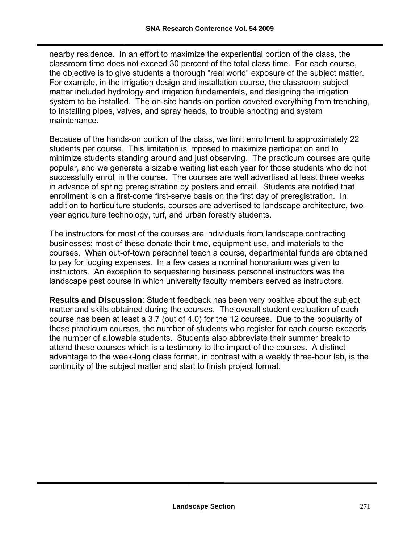nearby residence. In an effort to maximize the experiential portion of the class, the classroom time does not exceed 30 percent of the total class time. For each course, the objective is to give students a thorough "real world" exposure of the subject matter. For example, in the irrigation design and installation course, the classroom subject matter included hydrology and irrigation fundamentals, and designing the irrigation system to be installed. The on-site hands-on portion covered everything from trenching, to installing pipes, valves, and spray heads, to trouble shooting and system maintenance.

Because of the hands-on portion of the class, we limit enrollment to approximately 22 students per course. This limitation is imposed to maximize participation and to minimize students standing around and just observing. The practicum courses are quite popular, and we generate a sizable waiting list each year for those students who do not successfully enroll in the course. The courses are well advertised at least three weeks in advance of spring preregistration by posters and email. Students are notified that enrollment is on a first-come first-serve basis on the first day of preregistration. In addition to horticulture students, courses are advertised to landscape architecture, twoyear agriculture technology, turf, and urban forestry students.

The instructors for most of the courses are individuals from landscape contracting businesses; most of these donate their time, equipment use, and materials to the courses. When out-of-town personnel teach a course, departmental funds are obtained to pay for lodging expenses. In a few cases a nominal honorarium was given to instructors. An exception to sequestering business personnel instructors was the landscape pest course in which university faculty members served as instructors.

**Results and Discussion**: Student feedback has been very positive about the subject matter and skills obtained during the courses. The overall student evaluation of each course has been at least a 3.7 (out of 4.0) for the 12 courses. Due to the popularity of these practicum courses, the number of students who register for each course exceeds the number of allowable students. Students also abbreviate their summer break to attend these courses which is a testimony to the impact of the courses. A distinct advantage to the week-long class format, in contrast with a weekly three-hour lab, is the continuity of the subject matter and start to finish project format.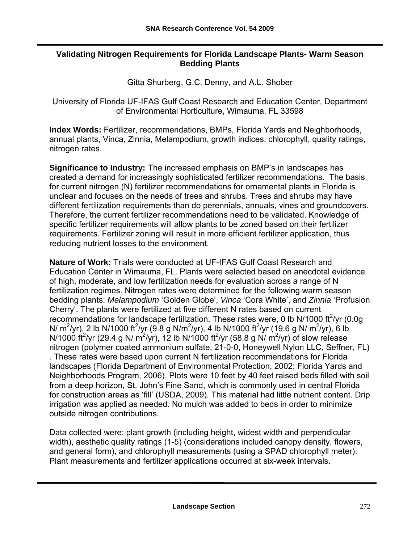#### **Validating Nitrogen Requirements for Florida Landscape Plants- Warm Season Bedding Plants**

Gitta Shurberg, G.C. Denny, and A.L. Shober

University of Florida UF-IFAS Gulf Coast Research and Education Center, Department of Environmental Horticulture, Wimauma, FL 33598

**Index Words:** Fertilizer, recommendations, BMPs, Florida Yards and Neighborhoods, annual plants, Vinca, Zinnia, Melampodium, growth indices, chlorophyll, quality ratings, nitrogen rates.

**Significance to Industry:** The increased emphasis on BMP's in landscapes has created a demand for increasingly sophisticated fertilizer recommendations. The basis for current nitrogen (N) fertilizer recommendations for ornamental plants in Florida is unclear and focuses on the needs of trees and shrubs. Trees and shrubs may have different fertilization requirements than do perennials, annuals, vines and groundcovers. Therefore, the current fertilizer recommendations need to be validated. Knowledge of specific fertilizer requirements will allow plants to be zoned based on their fertilizer requirements. Fertilizer zoning will result in more efficient fertilizer application, thus reducing nutrient losses to the environment.

**Nature of Work:** Trials were conducted at UF-IFAS Gulf Coast Research and Education Center in Wimauma, FL. Plants were selected based on anecdotal evidence of high, moderate, and low fertilization needs for evaluation across a range of N fertilization regimes. Nitrogen rates were determined for the following warm season bedding plants: *Melampodium* 'Golden Globe', *Vinca* 'Cora White', and *Zinnia* 'Profusion Cherry'. The plants were fertilized at five different N rates based on current recommendations for landscape fertilization. These rates were, 0 lb N/1000 ft $^2$ /yr (0.0g N/ m<sup>2</sup>/yr), 2 lb N/1000 ft<sup>2</sup>/yr (9.8 g N/m<sup>2</sup>/yr), 4 lb N/1000 ft<sup>2</sup>/yr (19.6 g N/ m<sup>2</sup>/yr), 6 lb N/1000 ft<sup>2</sup>/yr (29.4 g N/ m<sup>2</sup>/yr), 12 lb N/1000 ft<sup>2</sup>/yr (58.8 g N/ m<sup>2</sup>/yr) of slow release nitrogen (polymer coated ammonium sulfate, 21-0-0, Honeywell Nylon LLC, Seffner, FL) . These rates were based upon current N fertilization recommendations for Florida landscapes (Florida Department of Environmental Protection, 2002; Florida Yards and Neighborhoods Program, 2006). Plots were 10 feet by 40 feet raised beds filled with soil from a deep horizon, St. John's Fine Sand, which is commonly used in central Florida for construction areas as 'fill' (USDA, 2009). This material had little nutrient content. Drip irrigation was applied as needed. No mulch was added to beds in order to minimize outside nitrogen contributions.

Data collected were: plant growth (including height, widest width and perpendicular width), aesthetic quality ratings (1-5) (considerations included canopy density, flowers, and general form), and chlorophyll measurements (using a SPAD chlorophyll meter). Plant measurements and fertilizer applications occurred at six-week intervals.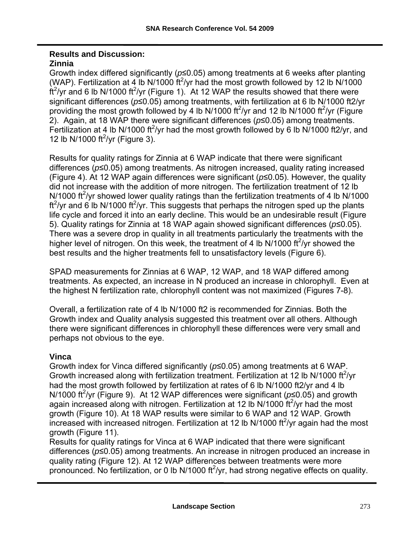#### **Results and Discussion: Zinnia**

Growth index differed significantly (*p*≤0.05) among treatments at 6 weeks after planting (WAP). Fertilization at 4 lb N/1000  $ft^2$ /yr had the most growth followed by 12 lb N/1000  $\frac{\dot{f}t^2}{yr}$  and 6 lb N/1000  $\frac{t^2}{yr}$  (Figure 1). At 12 WAP the results showed that there were significant differences (*p*≤0.05) among treatments, with fertilization at 6 lb N/1000 ft2/yr providing the most growth followed by 4 lb N/1000 ft<sup>2</sup>/yr and 12 lb N/1000 ft<sup>2</sup>/yr (Figure 2). Again, at 18 WAP there were significant differences (*p*≤0.05) among treatments. Fertilization at 4 lb N/1000 ft<sup>2</sup>/yr had the most growth followed by 6 lb N/1000 ft2/yr, and 12 lb N/1000 ft $^2$ /yr (Figure 3).

Results for quality ratings for Zinnia at 6 WAP indicate that there were significant differences (*p*≤0.05) among treatments. As nitrogen increased, quality rating increased (Figure 4). At 12 WAP again differences were significant (*p*≤0.05). However, the quality did not increase with the addition of more nitrogen. The fertilization treatment of 12 lb N/1000 ft<sup>2</sup>/yr showed lower quality ratings than the fertilization treatments of 4 lb N/1000 ft<sup>2</sup>/yr and 6 lb N/1000 ft<sup>2</sup>/yr. This suggests that perhaps the nitrogen sped up the plants life cycle and forced it into an early decline. This would be an undesirable result (Figure 5). Quality ratings for Zinnia at 18 WAP again showed significant differences (*p*≤0.05). There was a severe drop in quality in all treatments particularly the treatments with the higher level of nitrogen. On this week, the treatment of 4 lb N/1000 ft<sup>2</sup>/yr showed the best results and the higher treatments fell to unsatisfactory levels (Figure 6).

SPAD measurements for Zinnias at 6 WAP, 12 WAP, and 18 WAP differed among treatments. As expected, an increase in N produced an increase in chlorophyll. Even at the highest N fertilization rate, chlorophyll content was not maximized (Figures 7-8).

Overall, a fertilization rate of 4 lb N/1000 ft2 is recommended for Zinnias. Both the Growth index and Quality analysis suggested this treatment over all others. Although there were significant differences in chlorophyll these differences were very small and perhaps not obvious to the eye.

#### **Vinca**

Growth index for Vinca differed significantly (*p*≤0.05) among treatments at 6 WAP. Growth increased along with fertilization treatment. Fertilization at 12 lb N/1000 ft $^2$ /yr had the most growth followed by fertilization at rates of 6 lb N/1000 ft2/yr and 4 lb N/1000 ft<sup>2</sup>/yr (Figure 9). At 12 WAP differences were significant (p≤0.05) and growth again increased along with nitrogen. Fertilization at 12 lb N/1000  $\text{ft}^2$ /yr had the most growth (Figure 10). At 18 WAP results were similar to 6 WAP and 12 WAP. Growth increased with increased nitrogen. Fertilization at 12 lb N/1000 ft $^2$ /yr again had the most growth (Figure 11).

Results for quality ratings for Vinca at 6 WAP indicated that there were significant differences (*p*≤0.05) among treatments. An increase in nitrogen produced an increase in quality rating (Figure 12). At 12 WAP differences between treatments were more pronounced. No fertilization, or 0 lb N/1000 ft $^2$ /yr, had strong negative effects on quality.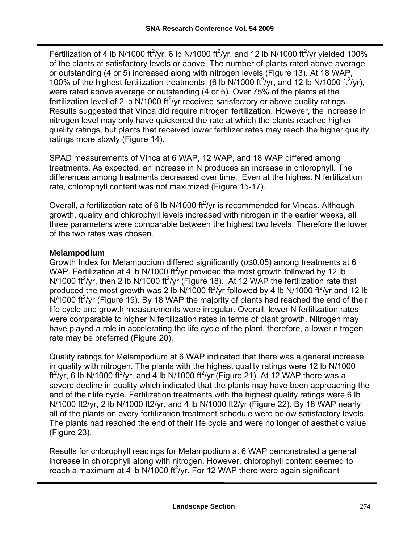Fertilization of 4 lb N/1000 ft<sup>2</sup>/yr, 6 lb N/1000 ft<sup>2</sup>/yr, and 12 lb N/1000 ft<sup>2</sup>/yr yielded 100% of the plants at satisfactory levels or above. The number of plants rated above average or outstanding (4 or 5) increased along with nitrogen levels (Figure 13). At 18 WAP, 100% of the highest fertilization treatments, (6 lb N/1000 ft<sup>2</sup>/yr, and 12 lb N/1000 ft<sup>2</sup>/yr), were rated above average or outstanding (4 or 5). Over 75% of the plants at the fertilization level of 2 lb  $\overline{N}/1000$  ft<sup>2</sup>/yr received satisfactory or above quality ratings. Results suggested that Vinca did require nitrogen fertilization. However, the increase in nitrogen level may only have quickened the rate at which the plants reached higher quality ratings, but plants that received lower fertilizer rates may reach the higher quality ratings more slowly (Figure 14).

SPAD measurements of Vinca at 6 WAP, 12 WAP, and 18 WAP differed among treatments. As expected, an increase in N produces an increase in chlorophyll. The differences among treatments decreased over time. Even at the highest N fertilization rate, chlorophyll content was not maximized (Figure 15-17).

Overall, a fertilization rate of 6 lb N/1000 ft $^2$ /yr is recommended for Vincas. Although growth, quality and chlorophyll levels increased with nitrogen in the earlier weeks, all three parameters were comparable between the highest two levels. Therefore the lower of the two rates was chosen.

#### **Melampodium**

Growth Index for Melampodium differed significantly (*p*≤0.05) among treatments at 6 WAP. Fertilization at 4 lb N/1000 ft<sup>2</sup>/yr provided the most growth followed by 12 lb N/1000 ft<sup>2</sup>/yr, then 2 lb N/1000 ft<sup>2</sup>/yr (Figure 18). At 12 WAP the fertilization rate that produced the most growth was 2 lb N/1000 ft<sup>2</sup>/yr followed by 4 lb N/1000 ft<sup>2</sup>/yr and 12 lb  $N/1000$  ft<sup>2</sup>/yr (Figure 19). By 18 WAP the majority of plants had reached the end of their life cycle and growth measurements were irregular. Overall, lower N fertilization rates were comparable to higher N fertilization rates in terms of plant growth. Nitrogen may have played a role in accelerating the life cycle of the plant, therefore, a lower nitrogen rate may be preferred (Figure 20).

Quality ratings for Melampodium at 6 WAP indicated that there was a general increase in quality with nitrogen. The plants with the highest quality ratings were 12 lb N/1000 ft<sup>2</sup>/yr, 6 lb N/1000 ft<sup>2</sup>/yr, and 4 lb N/1000 ft<sup>2</sup>/yr (Figure 21). At 12 WAP there was a severe decline in quality which indicated that the plants may have been approaching the end of their life cycle. Fertilization treatments with the highest quality ratings were 6 lb N/1000 ft2/yr, 2 lb N/1000 ft2/yr, and 4 lb N/1000 ft2/yr (Figure 22). By 18 WAP nearly all of the plants on every fertilization treatment schedule were below satisfactory levels. The plants had reached the end of their life cycle and were no longer of aesthetic value (Figure 23).

Results for chlorophyll readings for Melampodium at 6 WAP demonstrated a general increase in chlorophyll along with nitrogen. However, chlorophyll content seemed to reach a maximum at 4 lb N/1000 ft<sup>2</sup>/yr. For 12 WAP there were again significant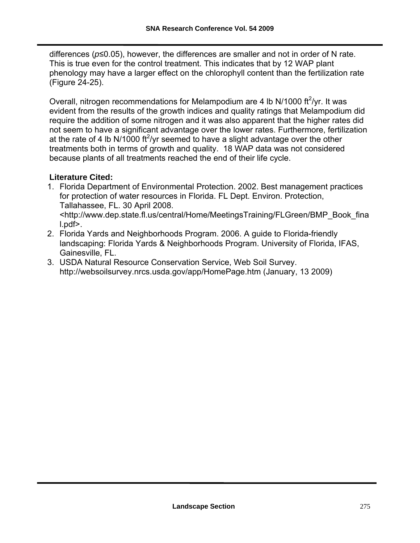differences (*p*≤0.05), however, the differences are smaller and not in order of N rate. This is true even for the control treatment. This indicates that by 12 WAP plant phenology may have a larger effect on the chlorophyll content than the fertilization rate (Figure 24-25).

Overall, nitrogen recommendations for Melampodium are 4 lb N/1000 ft $^2$ /yr. It was evident from the results of the growth indices and quality ratings that Melampodium did require the addition of some nitrogen and it was also apparent that the higher rates did not seem to have a significant advantage over the lower rates. Furthermore, fertilization at the rate of 4 lb N/1000 ft<sup>2</sup>/yr seemed to have a slight advantage over the other treatments both in terms of growth and quality. 18 WAP data was not considered because plants of all treatments reached the end of their life cycle.

#### **Literature Cited:**

1. Florida Department of Environmental Protection. 2002. Best management practices for protection of water resources in Florida. FL Dept. Environ. Protection, Tallahassee, FL. 30 April 2008.

[<http://www.dep.state.fl.us/central/Home/MeetingsTraining/FLGreen/BMP\\_Book\\_fina](http://www.dep.state.fl.us/central/Home/MeetingsTraining/FLGreen/BMP_Book_final.pdf%3e) [l.pdf>.](http://www.dep.state.fl.us/central/Home/MeetingsTraining/FLGreen/BMP_Book_final.pdf%3e)

- 2. Florida Yards and Neighborhoods Program. 2006. A guide to Florida-friendly landscaping: Florida Yards & Neighborhoods Program. University of Florida, IFAS, Gainesville, FL.
- 3. USDA Natural Resource Conservation Service, Web Soil Survey. <http://websoilsurvey.nrcs.usda.gov/app/HomePage.htm> (January, 13 2009)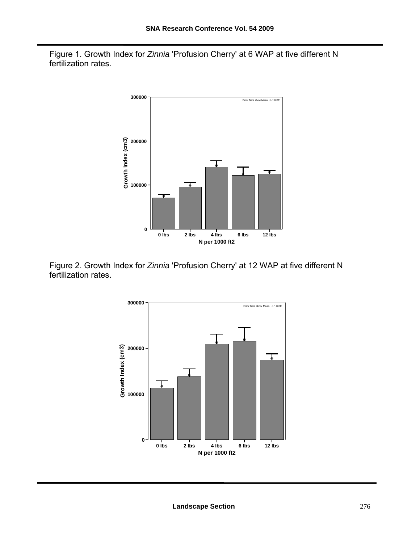Figure 1. Growth Index for *Zinnia* 'Profusion Cherry' at 6 WAP at five different N fertilization rates.



Figure 2. Growth Index for *Zinnia* 'Profusion Cherry' at 12 WAP at five different N fertilization rates.

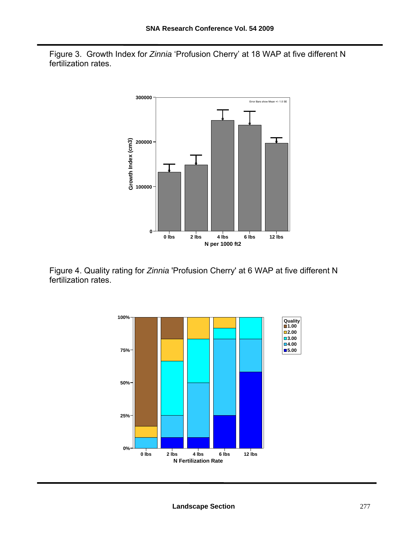Figure 3. Growth Index for *Zinnia* 'Profusion Cherry' at 18 WAP at five different N fertilization rates.



Figure 4. Quality rating for *Zinnia* 'Profusion Cherry' at 6 WAP at five different N fertilization rates.

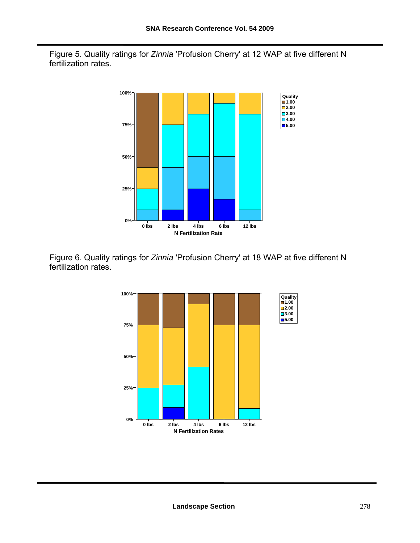Figure 5. Quality ratings for *Zinnia* 'Profusion Cherry' at 12 WAP at five different N fertilization rates.



Figure 6. Quality ratings for *Zinnia* 'Profusion Cherry' at 18 WAP at five different N fertilization rates.

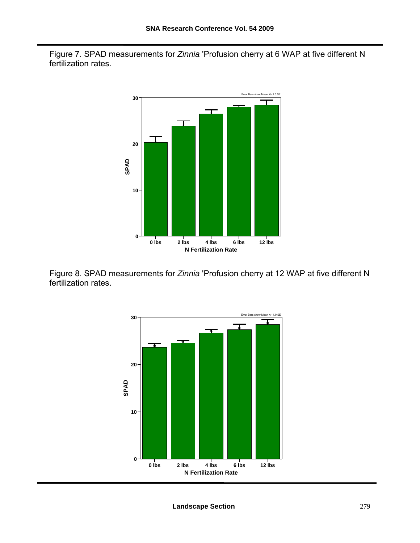Figure 7. SPAD measurements for *Zinnia* 'Profusion cherry at 6 WAP at five different N fertilization rates.



Figure 8. SPAD measurements for *Zinnia* 'Profusion cherry at 12 WAP at five different N fertilization rates.

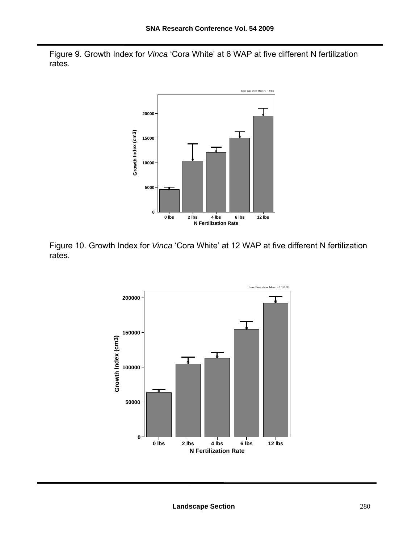Figure 9. Growth Index for *Vinca* 'Cora White' at 6 WAP at five different N fertilization rates.



Figure 10. Growth Index for *Vinca* 'Cora White' at 12 WAP at five different N fertilization rates.

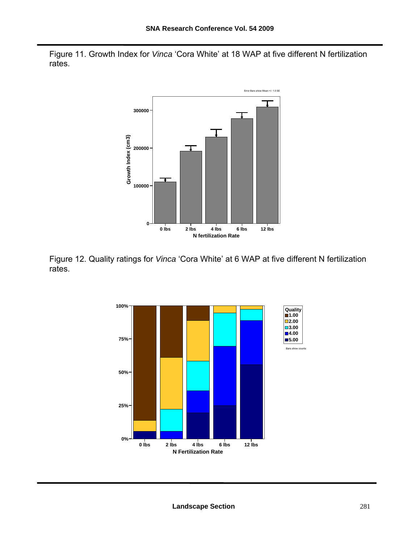Figure 11. Growth Index for *Vinca* 'Cora White' at 18 WAP at five different N fertilization rates.



Figure 12. Quality ratings for *Vinca* 'Cora White' at 6 WAP at five different N fertilization rates.

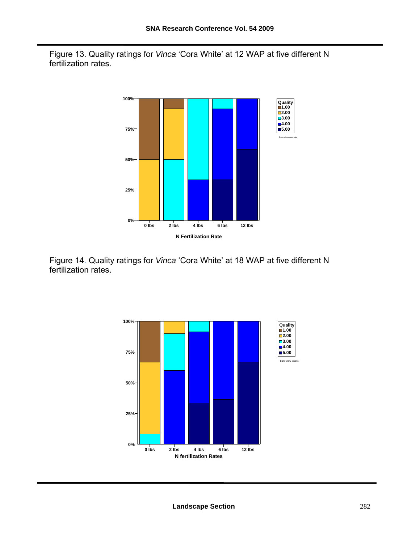Figure 13. Quality ratings for *Vinca* 'Cora White' at 12 WAP at five different N fertilization rates.



Figure 14. Quality ratings for *Vinca* 'Cora White' at 18 WAP at five different N fertilization rates.

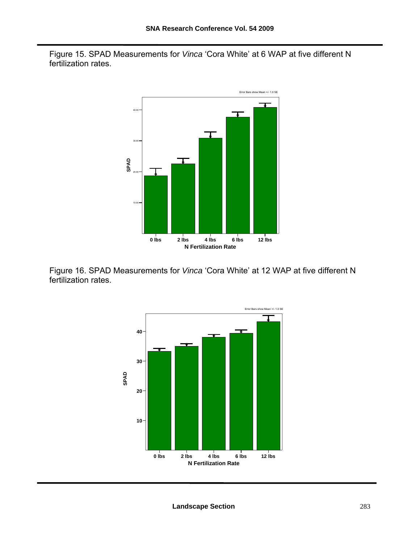Figure 15. SPAD Measurements for *Vinca* 'Cora White' at 6 WAP at five different N fertilization rates.



Figure 16. SPAD Measurements for *Vinca* 'Cora White' at 12 WAP at five different N fertilization rates.

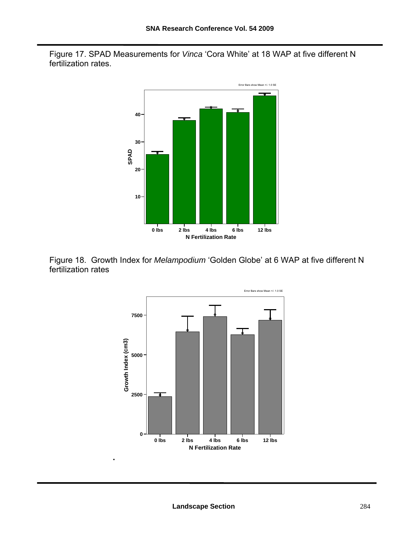Figure 17. SPAD Measurements for *Vinca* 'Cora White' at 18 WAP at five different N fertilization rates.





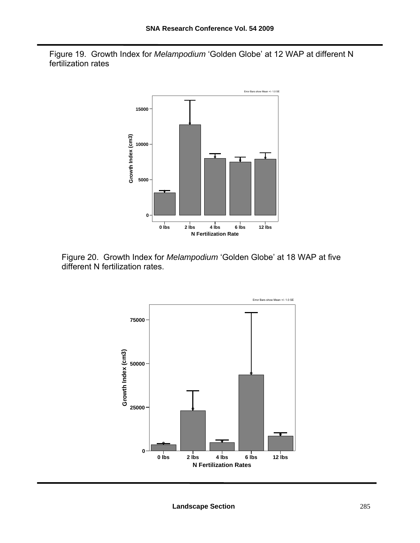Figure 19. Growth Index for *Melampodium* 'Golden Globe' at 12 WAP at different N fertilization rates



Figure 20. Growth Index for *Melampodium* 'Golden Globe' at 18 WAP at five different N fertilization rates.

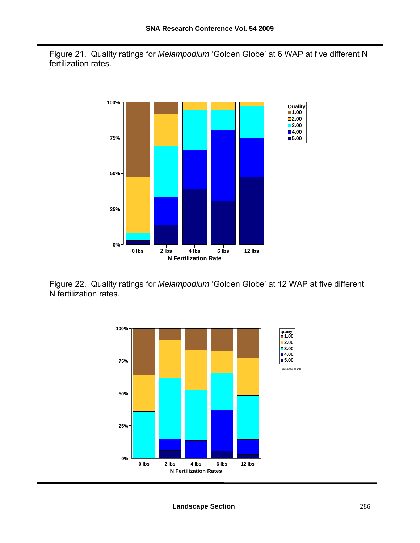Figure 21. Quality ratings for *Melampodium* 'Golden Globe' at 6 WAP at five different N fertilization rates.



Figure 22. Quality ratings for *Melampodium* 'Golden Globe' at 12 WAP at five different N fertilization rates.

![](_page_54_Figure_4.jpeg)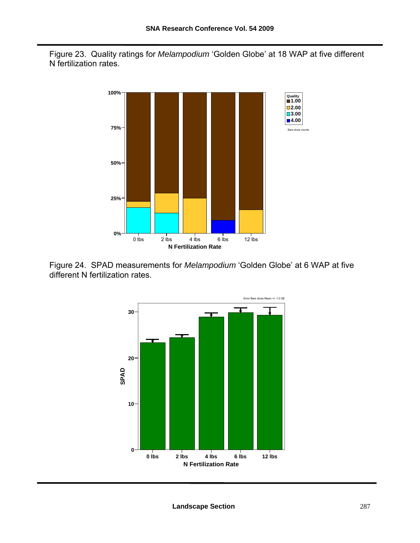Figure 23. Quality ratings for *Melampodium* 'Golden Globe' at 18 WAP at five different N fertilization rates.

![](_page_55_Figure_2.jpeg)

Figure 24. SPAD measurements for *Melampodium* 'Golden Globe' at 6 WAP at five different N fertilization rates.

![](_page_55_Figure_4.jpeg)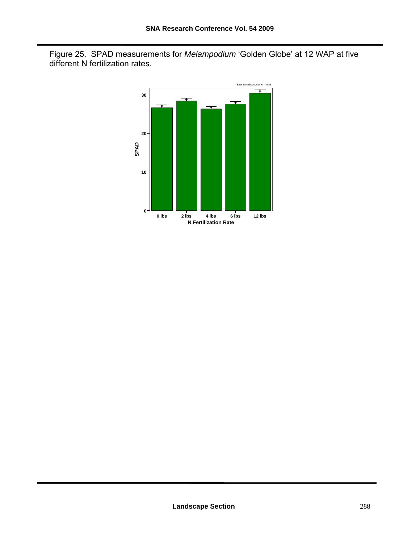Figure 25. SPAD measurements for *Melampodium* 'Golden Globe' at 12 WAP at five different N fertilization rates.

![](_page_56_Figure_2.jpeg)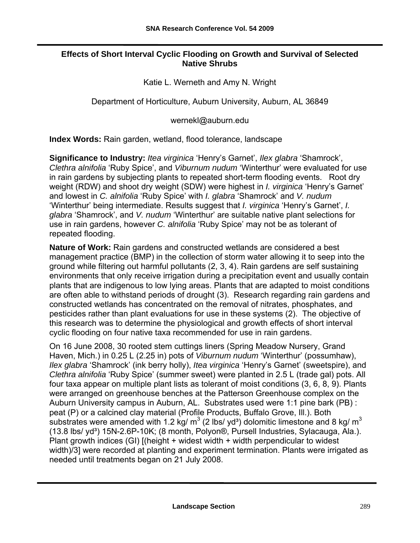#### **Effects of Short Interval Cyclic Flooding on Growth and Survival of Selected Native Shrubs**

Katie L. Werneth and Amy N. Wright

Department of Horticulture, Auburn University, Auburn, AL 36849

[wernekl@auburn.edu](mailto:wernekl@auburn.edu)

**Index Words:** Rain garden, wetland, flood tolerance, landscape

**Significance to Industry:** *Itea virginica* 'Henry's Garnet', *Ilex glabra* 'Shamrock', *Clethra alnifolia* 'Ruby Spice', and *Viburnum nudum* 'Winterthur' were evaluated for use in rain gardens by subjecting plants to repeated short-term flooding events. Root dry weight (RDW) and shoot dry weight (SDW) were highest in *I. virginica* 'Henry's Garnet' and lowest in *C. alnifolia* 'Ruby Spice' with *I. glabra* 'Shamrock' and *V. nudum* 'Winterthur' being intermediate. Results suggest that *I. virginica* 'Henry's Garnet', *I. glabra* 'Shamrock', and *V. nudum* 'Winterthur' are suitable native plant selections for use in rain gardens, however *C. alnifolia* 'Ruby Spice' may not be as tolerant of repeated flooding.

**Nature of Work:** Rain gardens and constructed wetlands are considered a best management practice (BMP) in the collection of storm water allowing it to seep into the ground while filtering out harmful pollutants (2, 3, 4). Rain gardens are self sustaining environments that only receive irrigation during a precipitation event and usually contain plants that are indigenous to low lying areas. Plants that are adapted to moist conditions are often able to withstand periods of drought (3). Research regarding rain gardens and constructed wetlands has concentrated on the removal of nitrates, phosphates, and pesticides rather than plant evaluations for use in these systems (2). The objective of this research was to determine the physiological and growth effects of short interval cyclic flooding on four native taxa recommended for use in rain gardens.

On 16 June 2008, 30 rooted stem cuttings liners (Spring Meadow Nursery, Grand Haven, Mich.) in 0.25 L (2.25 in) pots of *Viburnum nudum* 'Winterthur' (possumhaw), *Ilex glabra* 'Shamrock' (ink berry holly), *Itea virginica* 'Henry's Garnet' (sweetspire), and *Clethra alnifolia* 'Ruby Spice' (summer sweet) were planted in 2.5 L (trade gal) pots. All four taxa appear on multiple plant lists as tolerant of moist conditions (3, 6, 8, 9). Plants were arranged on greenhouse benches at the Patterson Greenhouse complex on the Auburn University campus in Auburn, AL. Substrates used were 1:1 pine bark (PB) : peat (P) or a calcined clay material (Profile Products, Buffalo Grove, Ill.). Both substrates were amended with 1.2 kg/ m<sup>3</sup> (2 lbs/ yd<sup>3</sup>) dolomitic limestone and 8 kg/ m<sup>3</sup> (13.8 lbs/ yd<sup>3</sup>) 15N-2.6P-10K; (8 month, Polyon<sup>®</sup>, Pursell Industries, Sylacauga, Ala.). Plant growth indices (GI) [(height + widest width + width perpendicular to widest width)/3] were recorded at planting and experiment termination. Plants were irrigated as needed until treatments began on 21 July 2008.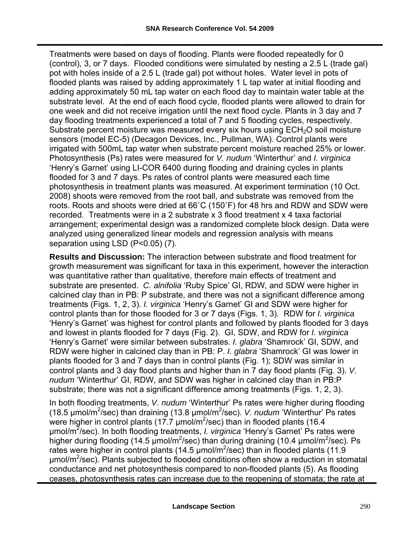Treatments were based on days of flooding. Plants were flooded repeatedly for 0 (control), 3, or 7 days. Flooded conditions were simulated by nesting a 2.5 L (trade gal) pot with holes inside of a 2.5 L (trade gal) pot without holes. Water level in pots of flooded plants was raised by adding approximately 1 L tap water at initial flooding and adding approximately 50 mL tap water on each flood day to maintain water table at the substrate level. At the end of each flood cycle, flooded plants were allowed to drain for one week and did not receive irrigation until the next flood cycle. Plants in 3 day and 7 day flooding treatments experienced a total of 7 and 5 flooding cycles, respectively. Substrate percent moisture was measured every six hours using  $ECH<sub>2</sub>O$  soil moisture sensors (model EC-5) (Decagon Devices, Inc., Pullman, WA). Control plants were irrigated with 500mL tap water when substrate percent moisture reached 25% or lower. Photosynthesis (Ps) rates were measured for *V. nudum* 'Winterthur' and *I. virginica* 'Henry's Garnet' using LI-COR 6400 during flooding and draining cycles in plants flooded for 3 and 7 days. Ps rates of control plants were measured each time photosynthesis in treatment plants was measured. At experiment termination (10 Oct. 2008) shoots were removed from the root ball, and substrate was removed from the roots. Roots and shoots were dried at 66˚C (150˚F) for 48 hrs and RDW and SDW were recorded. Treatments were in a 2 substrate x 3 flood treatment x 4 taxa factorial arrangement; experimental design was a randomized complete block design. Data were analyzed using generalized linear models and regression analysis with means separation using LSD (P<0.05) (7).

**Results and Discussion:** The interaction between substrate and flood treatment for growth measurement was significant for taxa in this experiment, however the interaction was quantitative rather than qualitative, therefore main effects of treatment and substrate are presented. *C. alnifolia* 'Ruby Spice' GI, RDW, and SDW were higher in calcined clay than in PB: P substrate, and there was not a significant difference among treatments (Figs. 1, 2, 3). *I. virginica* 'Henry's Garnet' GI and SDW were higher for control plants than for those flooded for 3 or 7 days (Figs. 1, 3). RDW for *I. virginica* 'Henry's Garnet' was highest for control plants and followed by plants flooded for 3 days and lowest in plants flooded for 7 days (Fig. 2). GI, SDW, and RDW for *I. virginica* 'Henry's Garnet' were similar between substrates. *I. glabra* 'Shamrock' GI, SDW, and RDW were higher in calcined clay than in PB: P. *I. glabra* 'Shamrock' GI was lower in plants flooded for 3 and 7 days than in control plants (Fig. 1); SDW was similar in control plants and 3 day flood plants and higher than in 7 day flood plants (Fig. 3). *V. nudum* 'Winterthur' GI, RDW, and SDW was higher in calcined clay than in PB:P substrate; there was not a significant difference among treatments (Figs. 1, 2, 3).

In both flooding treatments, *V. nudum* 'Winterthur' Ps rates were higher during flooding (18.5 µmol/m<sup>2</sup>/sec) than draining (13.8 µmol/m<sup>2</sup>/sec). *V. nudum* 'Winterthur' Ps rates were higher in control plants (17.7  $\mu$ mol/m<sup>2</sup>/sec) than in flooded plants (16.4 µmol/m<sup>2</sup> /sec). In both flooding treatments, *I. virginica* 'Henry's Garnet' Ps rates were higher during flooding (14.5  $\mu$ mol/m<sup>2</sup>/sec) than during draining (10.4  $\mu$ mol/m<sup>2</sup>/sec). Ps rates were higher in control plants (14.5  $\mu$ mol/m<sup>2</sup>/sec) than in flooded plants (11.9 umol/m<sup>2</sup>/sec). Plants subjected to flooded conditions often show a reduction in stomatal conductance and net photosynthesis compared to non-flooded plants (5). As flooding ceases, photosynthesis rates can increase due to the reopening of stomata; the rate at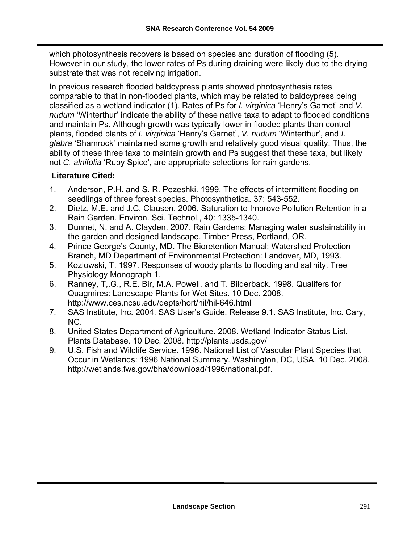which photosynthesis recovers is based on species and duration of flooding (5). However in our study, the lower rates of Ps during draining were likely due to the drying substrate that was not receiving irrigation.

In previous research flooded baldcypress plants showed photosynthesis rates comparable to that in non-flooded plants, which may be related to baldcypress being classified as a wetland indicator (1). Rates of Ps for *I. virginica* 'Henry's Garnet' and *V. nudum* 'Winterthur' indicate the ability of these native taxa to adapt to flooded conditions and maintain Ps. Although growth was typically lower in flooded plants than control plants, flooded plants of *I. virginica* 'Henry's Garnet', *V. nudum* 'Winterthur', and *I. glabra* 'Shamrock' maintained some growth and relatively good visual quality. Thus, the ability of these three taxa to maintain growth and Ps suggest that these taxa, but likely not *C. alnifolia* 'Ruby Spice', are appropriate selections for rain gardens.

#### **Literature Cited:**

- 1. Anderson, P.H. and S. R. Pezeshki. 1999. The effects of intermittent flooding on seedlings of three forest species. Photosynthetica. 37: 543-552.
- 2. Dietz, M.E. and J.C. Clausen. 2006. Saturation to Improve Pollution Retention in a Rain Garden. Environ. Sci. Technol., 40: 1335-1340.
- 3. Dunnet, N. and A. Clayden. 2007. Rain Gardens: Managing water sustainability in the garden and designed landscape. Timber Press, Portland, OR.
- 4. Prince George's County, MD. The Bioretention Manual; Watershed Protection Branch, MD Department of Environmental Protection: Landover, MD, 1993.
- 5. Kozlowski, T. 1997. Responses of woody plants to flooding and salinity. Tree Physiology Monograph 1.
- 6. Ranney, T,.G., R.E. Bir, M.A. Powell, and T. Bilderback. 1998. Qualifers for Quagmires: Landscape Plants for Wet Sites. 10 Dec. 2008. <http://www.ces.ncsu.edu/depts/hort/hil/hil-646.html>
- 7. SAS Institute, Inc. 2004. SAS User's Guide. Release 9.1. SAS Institute, Inc. Cary, NC.
- 8. United States Department of Agriculture. 2008. Wetland Indicator Status List. Plants Database. 10 Dec. 2008. <http://plants.usda.gov/>
- 9. U.S. Fish and Wildlife Service. 1996. National List of Vascular Plant Species that Occur in Wetlands: 1996 National Summary. Washington, DC, USA. 10 Dec. 2008. [http://wetlands.fws.gov/bha/download/1996/national.pdf.](http://wetlands.fws.gov/bha/download/1996/national.pdf)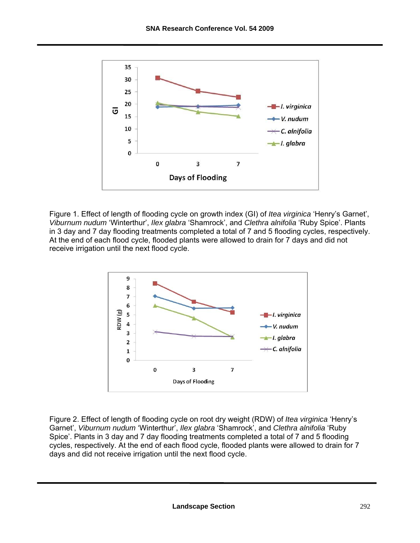![](_page_60_Figure_1.jpeg)

Figure 1. Effect of length of flooding cycle on growth index (GI) of *Itea virginica* 'Henry's Garnet', *Viburnum nudum* 'Winterthur', *Ilex glabra* 'Shamrock', and *Clethra alnifolia* 'Ruby Spice'. Plants in 3 day and 7 day flooding treatments completed a total of 7 and 5 flooding cycles, respectively. At the end of each flood cycle, flooded plants were allowed to drain for 7 days and did not receive irrigation until the next flood cycle.

![](_page_60_Figure_3.jpeg)

Figure 2. Effect of length of flooding cycle on root dry weight (RDW) of *Itea virginica* 'Henry's Garnet', *Viburnum nudum* 'Winterthur', *Ilex glabra* 'Shamrock', and *Clethra alnifolia* 'Ruby Spice'. Plants in 3 day and 7 day flooding treatments completed a total of 7 and 5 flooding cycles, respectively. At the end of each flood cycle, flooded plants were allowed to drain for 7 days and did not receive irrigation until the next flood cycle.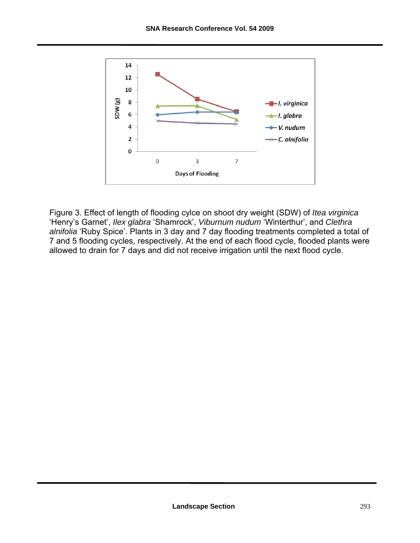![](_page_61_Figure_1.jpeg)

Figure 3. Effect of length of flooding cylce on shoot dry weight (SDW) of *Itea virginica* 'Henry's Garnet', *Ilex glabra* 'Shamrock', *Viburnum nudum* 'Winterthur', and *Clethra alnifolia* 'Ruby Spice'. Plants in 3 day and 7 day flooding treatments completed a total of 7 and 5 flooding cycles, respectively. At the end of each flood cycle, flooded plants were allowed to drain for 7 days and did not receive irrigation until the next flood cycle.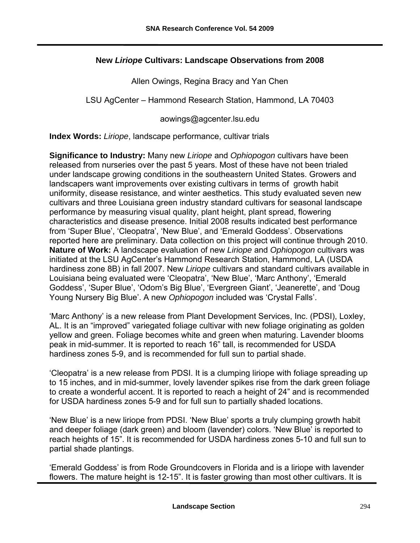#### **New** *Liriope* **Cultivars: Landscape Observations from 2008**

Allen Owings, Regina Bracy and Yan Chen

LSU AgCenter – Hammond Research Station, Hammond, LA 70403

[aowings@agcenter.lsu.edu](mailto:aowings@agcenter.lsu.edu) 

**Index Words:** *Liriope*, landscape performance, cultivar trials

**Significance to Industry:** Many new *Liriope* and *Ophiopogon* cultivars have been released from nurseries over the past 5 years. Most of these have not been trialed under landscape growing conditions in the southeastern United States. Growers and landscapers want improvements over existing cultivars in terms of growth habit uniformity, disease resistance, and winter aesthetics. This study evaluated seven new cultivars and three Louisiana green industry standard cultivars for seasonal landscape performance by measuring visual quality, plant height, plant spread, flowering characteristics and disease presence. Initial 2008 results indicated best performance from 'Super Blue', 'Cleopatra', 'New Blue', and 'Emerald Goddess'. Observations reported here are preliminary. Data collection on this project will continue through 2010. **Nature of Work:** A landscape evaluation of new *Liriope* and *Ophiopogon* cultivars was initiated at the LSU AgCenter's Hammond Research Station, Hammond, LA (USDA hardiness zone 8B) in fall 2007. New *Liriope* cultivars and standard cultivars available in Louisiana being evaluated were 'Cleopatra', 'New Blue', 'Marc Anthony', 'Emerald Goddess', 'Super Blue', 'Odom's Big Blue', 'Evergreen Giant', 'Jeanerette', and 'Doug Young Nursery Big Blue'. A new *Ophiopogon* included was 'Crystal Falls'.

'Marc Anthony' is a new release from Plant Development Services, Inc. (PDSI), Loxley, AL. It is an "improved" variegated foliage cultivar with new foliage originating as golden yellow and green. Foliage becomes white and green when maturing. Lavender blooms peak in mid-summer. It is reported to reach 16" tall, is recommended for USDA hardiness zones 5-9, and is recommended for full sun to partial shade.

'Cleopatra' is a new release from PDSI. It is a clumping liriope with foliage spreading up to 15 inches, and in mid-summer, lovely lavender spikes rise from the dark green foliage to create a wonderful accent. It is reported to reach a height of 24" and is recommended for USDA hardiness zones 5-9 and for full sun to partially shaded locations.

'New Blue' is a new liriope from PDSI. 'New Blue' sports a truly clumping growth habit and deeper foliage (dark green) and bloom (lavender) colors. 'New Blue' is reported to reach heights of 15". It is recommended for USDA hardiness zones 5-10 and full sun to partial shade plantings.

'Emerald Goddess' is from Rode Groundcovers in Florida and is a liriope with lavender flowers. The mature height is 12-15". It is faster growing than most other cultivars. It is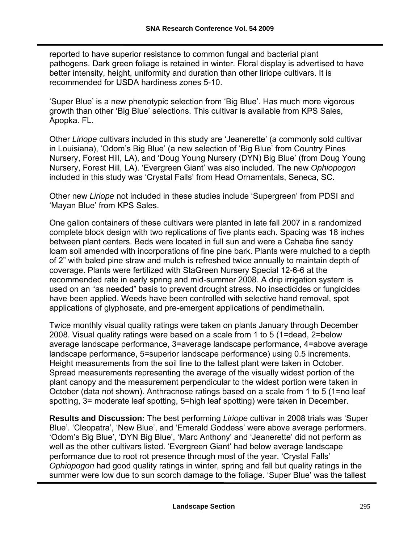reported to have superior resistance to common fungal and bacterial plant pathogens. Dark green foliage is retained in winter. Floral display is advertised to have better intensity, height, uniformity and duration than other liriope cultivars. It is recommended for USDA hardiness zones 5-10.

'Super Blue' is a new phenotypic selection from 'Big Blue'. Has much more vigorous growth than other 'Big Blue' selections. This cultivar is available from KPS Sales, Apopka. FL.

Other *Liriope* cultivars included in this study are 'Jeanerette' (a commonly sold cultivar in Louisiana), 'Odom's Big Blue' (a new selection of 'Big Blue' from Country Pines Nursery, Forest Hill, LA), and 'Doug Young Nursery (DYN) Big Blue' (from Doug Young Nursery, Forest Hill, LA). 'Evergreen Giant' was also included. The new *Ophiopogon* included in this study was 'Crystal Falls' from Head Ornamentals, Seneca, SC.

Other new *Liriope* not included in these studies include 'Supergreen' from PDSI and 'Mayan Blue' from KPS Sales.

One gallon containers of these cultivars were planted in late fall 2007 in a randomized complete block design with two replications of five plants each. Spacing was 18 inches between plant centers. Beds were located in full sun and were a Cahaba fine sandy loam soil amended with incorporations of fine pine bark. Plants were mulched to a depth of 2" with baled pine straw and mulch is refreshed twice annually to maintain depth of coverage. Plants were fertilized with StaGreen Nursery Special 12-6-6 at the recommended rate in early spring and mid-summer 2008. A drip irrigation system is used on an "as needed" basis to prevent drought stress. No insecticides or fungicides have been applied. Weeds have been controlled with selective hand removal, spot applications of glyphosate, and pre-emergent applications of pendimethalin.

Twice monthly visual quality ratings were taken on plants January through December 2008. Visual quality ratings were based on a scale from 1 to 5 (1=dead, 2=below average landscape performance, 3=average landscape performance, 4=above average landscape performance, 5=superior landscape performance) using 0.5 increments. Height measurements from the soil line to the tallest plant were taken in October. Spread measurements representing the average of the visually widest portion of the plant canopy and the measurement perpendicular to the widest portion were taken in October (data not shown). Anthracnose ratings based on a scale from 1 to 5 (1=no leaf spotting, 3= moderate leaf spotting, 5=high leaf spotting) were taken in December.

**Results and Discussion:** The best performing *Liriope* cultivar in 2008 trials was 'Super Blue'. 'Cleopatra', 'New Blue', and 'Emerald Goddess' were above average performers. 'Odom's Big Blue', 'DYN Big Blue', 'Marc Anthony' and 'Jeanerette' did not perform as well as the other cultivars listed. 'Evergreen Giant' had below average landscape performance due to root rot presence through most of the year. 'Crystal Falls' *Ophiopogon* had good quality ratings in winter, spring and fall but quality ratings in the summer were low due to sun scorch damage to the foliage. 'Super Blue' was the tallest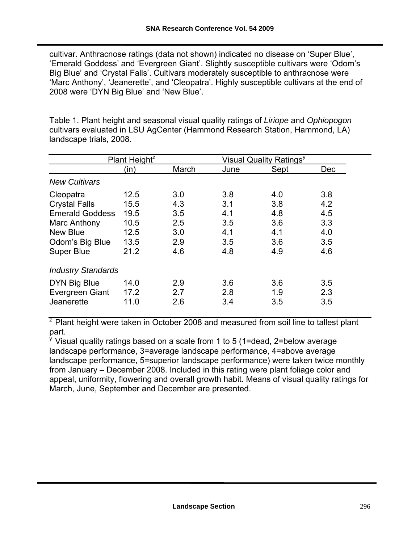cultivar. Anthracnose ratings (data not shown) indicated no disease on 'Super Blue', 'Emerald Goddess' and 'Evergreen Giant'. Slightly susceptible cultivars were 'Odom's Big Blue' and 'Crystal Falls'. Cultivars moderately susceptible to anthracnose were 'Marc Anthony', 'Jeanerette', and 'Cleopatra'. Highly susceptible cultivars at the end of 2008 were 'DYN Big Blue' and 'New Blue'.

Table 1. Plant height and seasonal visual quality ratings of *Liriope* and *Ophiopogon* cultivars evaluated in LSU AgCenter (Hammond Research Station, Hammond, LA) landscape trials, 2008.

|                           | Plant Height <sup>z</sup> |       | <b>Visual Quality Ratings<sup>y</sup></b> |      |            |
|---------------------------|---------------------------|-------|-------------------------------------------|------|------------|
|                           | (in)                      | March | June                                      | Sept | <b>Dec</b> |
| <b>New Cultivars</b>      |                           |       |                                           |      |            |
| Cleopatra                 | 12.5                      | 3.0   | 3.8                                       | 4.0  | 3.8        |
| <b>Crystal Falls</b>      | 15.5                      | 4.3   | 3.1                                       | 3.8  | 4.2        |
| <b>Emerald Goddess</b>    | 19.5                      | 3.5   | 4.1                                       | 4.8  | 4.5        |
| Marc Anthony              | 10.5                      | 2.5   | 3.5                                       | 3.6  | 3.3        |
| <b>New Blue</b>           | 12.5                      | 3.0   | 4.1                                       | 4.1  | 4.0        |
| Odom's Big Blue           | 13.5                      | 2.9   | 3.5                                       | 3.6  | 3.5        |
| <b>Super Blue</b>         | 21.2                      | 4.6   | 4.8                                       | 4.9  | 4.6        |
| <b>Industry Standards</b> |                           |       |                                           |      |            |
| DYN Big Blue              | 14.0                      | 2.9   | 3.6                                       | 3.6  | 3.5        |
| Evergreen Giant           | 17.2                      | 2.7   | 2.8                                       | 1.9  | 2.3        |
| Jeanerette                | 11.0                      | 2.6   | 3.4                                       | 3.5  | 3.5        |

 $\frac{1}{2}$  Plant height were taken in October 2008 and measured from soil line to tallest plant part.

<sup>y</sup> Visual quality ratings based on a scale from 1 to 5 (1=dead, 2=below average landscape performance, 3=average landscape performance, 4=above average landscape performance, 5=superior landscape performance) were taken twice monthly from January – December 2008. Included in this rating were plant foliage color and appeal, uniformity, flowering and overall growth habit. Means of visual quality ratings for March, June, September and December are presented.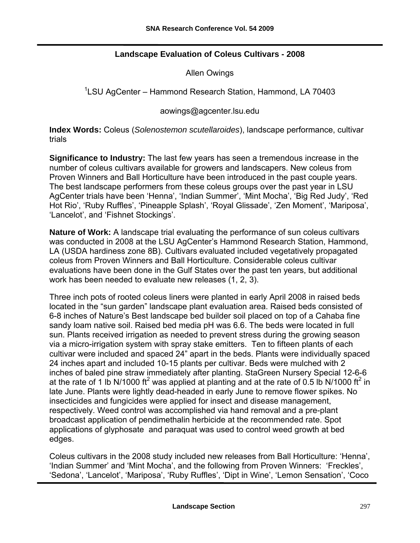#### **Landscape Evaluation of Coleus Cultivars - 2008**

Allen Owings

<sup>1</sup>LSU AgCenter – Hammond Research Station, Hammond, LA 70403

[aowings@agcenter.lsu.edu](mailto:aowings@agcenter.lsu.edu) 

**Index Words:** Coleus (*Solenostemon scutellaroides*), landscape performance, cultivar trials

**Significance to Industry:** The last few years has seen a tremendous increase in the number of coleus cultivars available for growers and landscapers. New coleus from Proven Winners and Ball Horticulture have been introduced in the past couple years. The best landscape performers from these coleus groups over the past year in LSU AgCenter trials have been 'Henna', 'Indian Summer', 'Mint Mocha', 'Big Red Judy', 'Red Hot Rio', 'Ruby Ruffles', 'Pineapple Splash', 'Royal Glissade', 'Zen Moment', 'Mariposa', 'Lancelot', and 'Fishnet Stockings'.

**Nature of Work:** A landscape trial evaluating the performance of sun coleus cultivars was conducted in 2008 at the LSU AgCenter's Hammond Research Station, Hammond, LA (USDA hardiness zone 8B). Cultivars evaluated included vegetatively propagated coleus from Proven Winners and Ball Horticulture. Considerable coleus cultivar evaluations have been done in the Gulf States over the past ten years, but additional work has been needed to evaluate new releases (1, 2, 3).

Three inch pots of rooted coleus liners were planted in early April 2008 in raised beds located in the "sun garden" landscape plant evaluation area. Raised beds consisted of 6-8 inches of Nature's Best landscape bed builder soil placed on top of a Cahaba fine sandy loam native soil. Raised bed media pH was 6.6. The beds were located in full sun. Plants received irrigation as needed to prevent stress during the growing season via a micro-irrigation system with spray stake emitters. Ten to fifteen plants of each cultivar were included and spaced 24" apart in the beds. Plants were individually spaced 24 inches apart and included 10-15 plants per cultivar. Beds were mulched with 2 inches of baled pine straw immediately after planting. StaGreen Nursery Special 12-6-6 at the rate of 1 lb N/1000 ft<sup>2</sup> was applied at planting and at the rate of 0.5 lb N/1000 ft<sup>2</sup> in late June. Plants were lightly dead-headed in early June to remove flower spikes. No insecticides and fungicides were applied for insect and disease management, respectively. Weed control was accomplished via hand removal and a pre-plant broadcast application of pendimethalin herbicide at the recommended rate. Spot applications of glyphosate and paraquat was used to control weed growth at bed edges.

Coleus cultivars in the 2008 study included new releases from Ball Horticulture: 'Henna', 'Indian Summer' and 'Mint Mocha', and the following from Proven Winners: 'Freckles', 'Sedona', 'Lancelot', 'Mariposa', 'Ruby Ruffles', 'Dipt in Wine', 'Lemon Sensation', 'Coco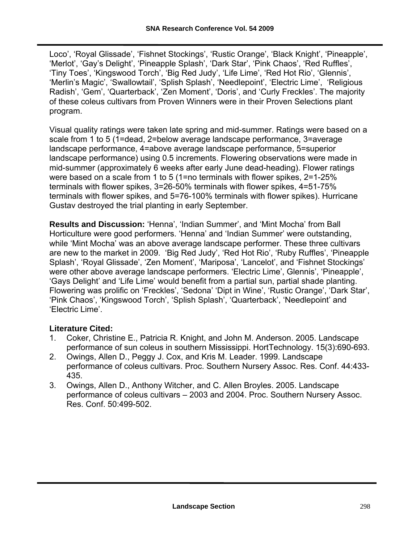Loco', 'Royal Glissade', 'Fishnet Stockings', 'Rustic Orange', 'Black Knight', 'Pineapple', 'Merlot', 'Gay's Delight', 'Pineapple Splash', 'Dark Star', 'Pink Chaos', 'Red Ruffles', 'Tiny Toes', 'Kingswood Torch', 'Big Red Judy', 'Life Lime', 'Red Hot Rio', 'Glennis', 'Merlin's Magic', 'Swallowtail', 'Splish Splash', 'Needlepoint', 'Electric Lime', 'Religious Radish', 'Gem', 'Quarterback', 'Zen Moment', 'Doris', and 'Curly Freckles'. The majority of these coleus cultivars from Proven Winners were in their Proven Selections plant program.

Visual quality ratings were taken late spring and mid-summer. Ratings were based on a scale from 1 to 5 (1=dead, 2=below average landscape performance, 3=average landscape performance, 4=above average landscape performance, 5=superior landscape performance) using 0.5 increments. Flowering observations were made in mid-summer (approximately 6 weeks after early June dead-heading). Flower ratings were based on a scale from 1 to 5 (1=no terminals with flower spikes, 2=1-25% terminals with flower spikes, 3=26-50% terminals with flower spikes, 4=51-75% terminals with flower spikes, and 5=76-100% terminals with flower spikes). Hurricane Gustav destroyed the trial planting in early September.

**Results and Discussion:** 'Henna', 'Indian Summer', and 'Mint Mocha' from Ball Horticulture were good performers. 'Henna' and 'Indian Summer' were outstanding, while 'Mint Mocha' was an above average landscape performer. These three cultivars are new to the market in 2009. 'Big Red Judy', 'Red Hot Rio', 'Ruby Ruffles', 'Pineapple Splash', 'Royal Glissade', 'Zen Moment', 'Mariposa', 'Lancelot', and 'Fishnet Stockings' were other above average landscape performers. 'Electric Lime', Glennis', 'Pineapple', 'Gays Delight' and 'Life Lime' would benefit from a partial sun, partial shade planting. Flowering was prolific on 'Freckles', 'Sedona' 'Dipt in Wine', 'Rustic Orange', 'Dark Star', 'Pink Chaos', 'Kingswood Torch', 'Splish Splash', 'Quarterback', 'Needlepoint' and 'Electric Lime'.

#### **Literature Cited:**

- 1. Coker, Christine E., Patricia R. Knight, and John M. Anderson. 2005. Landscape performance of sun coleus in southern Mississippi. HortTechnology. 15(3):690-693.
- 2. Owings, Allen D., Peggy J. Cox, and Kris M. Leader. 1999. Landscape performance of coleus cultivars. Proc. Southern Nursery Assoc. Res. Conf. 44:433- 435.
- 3. Owings, Allen D., Anthony Witcher, and C. Allen Broyles. 2005. Landscape performance of coleus cultivars – 2003 and 2004. Proc. Southern Nursery Assoc. Res. Conf. 50:499-502.